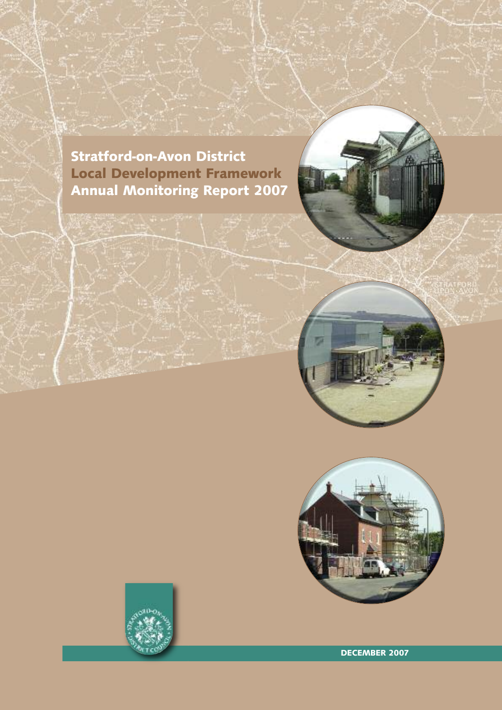**Stratford-on-Avon District Local Development Framework Annual Monitoring Report 2007**





**DECEMBER 2007**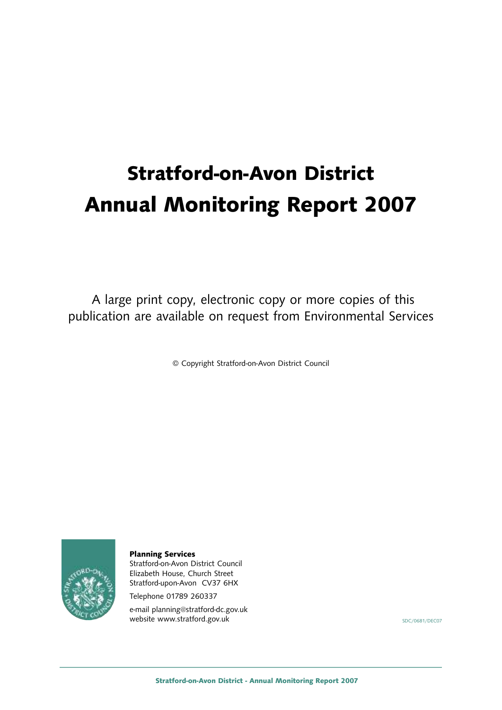# **Stratford-on-Avon District Annual Monitoring Report 2007**

A large print copy, electronic copy or more copies of this publication are available on request from Environmental Services

© Copyright Stratford-on-Avon District Council



**Planning Services**

Stratford-on-Avon District Council Elizabeth House, Church Street Stratford-upon-Avon CV37 6HX

Telephone 01789 260337

e-mail planning@stratford-dc.gov.uk website www.stratford.gov.uk SDC/0681/DEC07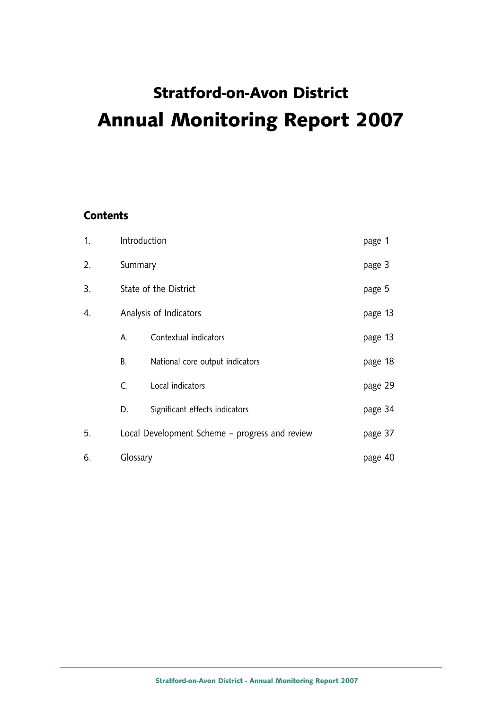## **Stratford-on-Avon District Annual Monitoring Report 2007**

#### **Contents**

| 1. |                                                | Introduction                    |         |  |  |
|----|------------------------------------------------|---------------------------------|---------|--|--|
| 2. |                                                | Summary                         |         |  |  |
| 3. |                                                | State of the District           |         |  |  |
| 4. | Analysis of Indicators                         |                                 |         |  |  |
|    | Α.                                             | Contextual indicators           | page 13 |  |  |
|    | В.                                             | National core output indicators | page 18 |  |  |
|    | C.                                             | Local indicators                | page 29 |  |  |
|    | D.                                             | Significant effects indicators  | page 34 |  |  |
| 5. | Local Development Scheme - progress and review |                                 |         |  |  |
| 6. | Glossary                                       |                                 | page 40 |  |  |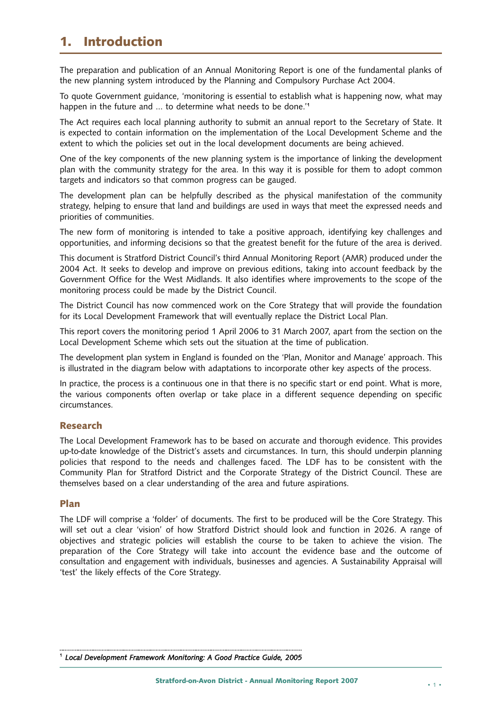## **1. Introduction**

The preparation and publication of an Annual Monitoring Report is one of the fundamental planks of the new planning system introduced by the Planning and Compulsory Purchase Act 2004.

To quote Government guidance, 'monitoring is essential to establish what is happening now, what may happen in the future and … to determine what needs to be done.' 1

The Act requires each local planning authority to submit an annual report to the Secretary of State. It is expected to contain information on the implementation of the Local Development Scheme and the extent to which the policies set out in the local development documents are being achieved.

One of the key components of the new planning system is the importance of linking the development plan with the community strategy for the area. In this way it is possible for them to adopt common targets and indicators so that common progress can be gauged.

The development plan can be helpfully described as the physical manifestation of the community strategy, helping to ensure that land and buildings are used in ways that meet the expressed needs and priorities of communities.

The new form of monitoring is intended to take a positive approach, identifying key challenges and opportunities, and informing decisions so that the greatest benefit for the future of the area is derived.

This document is Stratford District Council's third Annual Monitoring Report (AMR) produced under the 2004 Act. It seeks to develop and improve on previous editions, taking into account feedback by the Government Office for the West Midlands. It also identifies where improvements to the scope of the monitoring process could be made by the District Council.

The District Council has now commenced work on the Core Strategy that will provide the foundation for its Local Development Framework that will eventually replace the District Local Plan.

This report covers the monitoring period 1 April 2006 to 31 March 2007, apart from the section on the Local Development Scheme which sets out the situation at the time of publication.

The development plan system in England is founded on the 'Plan, Monitor and Manage' approach. This is illustrated in the diagram below with adaptations to incorporate other key aspects of the process.

In practice, the process is a continuous one in that there is no specific start or end point. What is more, the various components often overlap or take place in a different sequence depending on specific circumstances.

#### **Research**

The Local Development Framework has to be based on accurate and thorough evidence. This provides up-to-date knowledge of the District's assets and circumstances. In turn, this should underpin planning policies that respond to the needs and challenges faced. The LDF has to be consistent with the Community Plan for Stratford District and the Corporate Strategy of the District Council. These are themselves based on a clear understanding of the area and future aspirations.

#### **Plan**

The LDF will comprise a 'folder' of documents. The first to be produced will be the Core Strategy. This will set out a clear 'vision' of how Stratford District should look and function in 2026. A range of objectives and strategic policies will establish the course to be taken to achieve the vision. The preparation of the Core Strategy will take into account the evidence base and the outcome of consultation and engagement with individuals, businesses and agencies. A Sustainability Appraisal will 'test' the likely effects of the Core Strategy.

<sup>1</sup> *Local Development Framework Monitoring: A Good Practice Guide, 2005*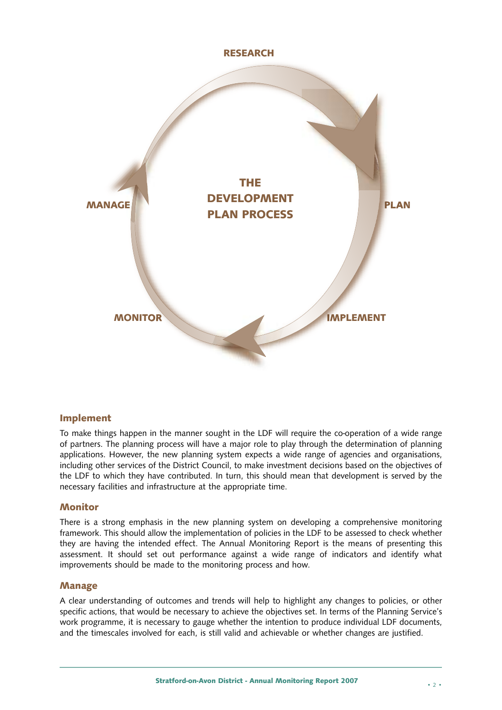

#### **Implement**

To make things happen in the manner sought in the LDF will require the co-operation of a wide range of partners. The planning process will have a major role to play through the determination of planning applications. However, the new planning system expects a wide range of agencies and organisations, including other services of the District Council, to make investment decisions based on the objectives of the LDF to which they have contributed. In turn, this should mean that development is served by the necessary facilities and infrastructure at the appropriate time.

#### **Monitor**

There is a strong emphasis in the new planning system on developing a comprehensive monitoring framework. This should allow the implementation of policies in the LDF to be assessed to check whether they are having the intended effect. The Annual Monitoring Report is the means of presenting this assessment. It should set out performance against a wide range of indicators and identify what improvements should be made to the monitoring process and how.

#### **Manage**

A clear understanding of outcomes and trends will help to highlight any changes to policies, or other specific actions, that would be necessary to achieve the objectives set. In terms of the Planning Service's work programme, it is necessary to gauge whether the intention to produce individual LDF documents, and the timescales involved for each, is still valid and achievable or whether changes are justified.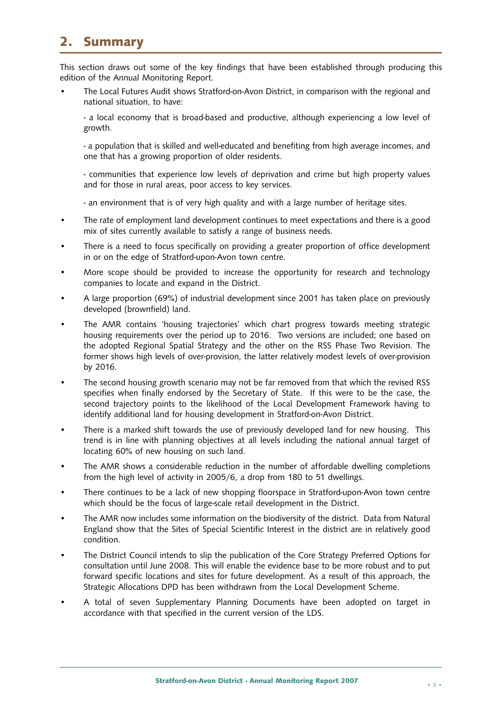## **2. Summary**

This section draws out some of the key findings that have been established through producing this edition of the Annual Monitoring Report.

• The Local Futures Audit shows Stratford-on-Avon District, in comparison with the regional and national situation, to have:

- a local economy that is broad-based and productive, although experiencing a low level of growth.

- a population that is skilled and well-educated and benefiting from high average incomes, and one that has a growing proportion of older residents.

- communities that experience low levels of deprivation and crime but high property values and for those in rural areas, poor access to key services.

- an environment that is of very high quality and with a large number of heritage sites.

- The rate of employment land development continues to meet expectations and there is a good mix of sites currently available to satisfy a range of business needs.
- There is a need to focus specifically on providing a greater proportion of office development in or on the edge of Stratford-upon-Avon town centre.
- More scope should be provided to increase the opportunity for research and technology companies to locate and expand in the District.
- A large proportion (69%) of industrial development since 2001 has taken place on previously developed (brownfield) land.
- The AMR contains 'housing trajectories' which chart progress towards meeting strategic housing requirements over the period up to 2016. Two versions are included; one based on the adopted Regional Spatial Strategy and the other on the RSS Phase Two Revision. The former shows high levels of over-provision, the latter relatively modest levels of over-provision by 2016.
- The second housing growth scenario may not be far removed from that which the revised RSS specifies when finally endorsed by the Secretary of State. If this were to be the case, the second trajectory points to the likelihood of the Local Development Framework having to identify additional land for housing development in Stratford-on-Avon District.
- There is a marked shift towards the use of previously developed land for new housing. This trend is in line with planning objectives at all levels including the national annual target of locating 60% of new housing on such land.
- The AMR shows a considerable reduction in the number of affordable dwelling completions from the high level of activity in 2005/6, a drop from 180 to 51 dwellings.
- There continues to be a lack of new shopping floorspace in Stratford-upon-Avon town centre which should be the focus of large-scale retail development in the District.
- The AMR now includes some information on the biodiversity of the district. Data from Natural England show that the Sites of Special Scientific Interest in the district are in relatively good condition.
- The District Council intends to slip the publication of the Core Strategy Preferred Options for consultation until June 2008. This will enable the evidence base to be more robust and to put forward specific locations and sites for future development. As a result of this approach, the Strategic Allocations DPD has been withdrawn from the Local Development Scheme.
- A total of seven Supplementary Planning Documents have been adopted on target in accordance with that specified in the current version of the LDS.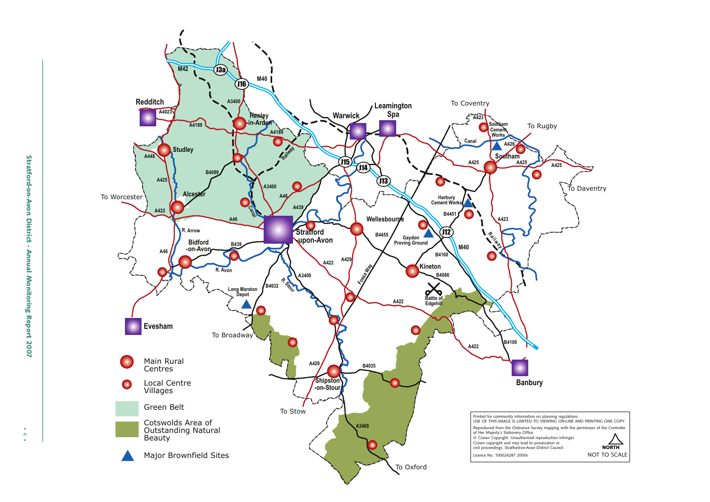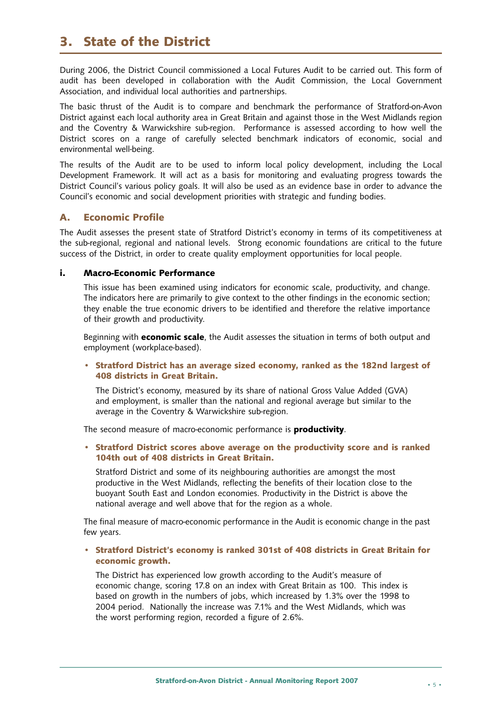### **3. State of the District**

During 2006, the District Council commissioned a Local Futures Audit to be carried out. This form of audit has been developed in collaboration with the Audit Commission, the Local Government Association, and individual local authorities and partnerships.

The basic thrust of the Audit is to compare and benchmark the performance of Stratford-on-Avon District against each local authority area in Great Britain and against those in the West Midlands region and the Coventry & Warwickshire sub-region. Performance is assessed according to how well the District scores on a range of carefully selected benchmark indicators of economic, social and environmental well-being.

The results of the Audit are to be used to inform local policy development, including the Local Development Framework. It will act as a basis for monitoring and evaluating progress towards the District Council's various policy goals. It will also be used as an evidence base in order to advance the Council's economic and social development priorities with strategic and funding bodies.

#### **A. Economic Profile**

The Audit assesses the present state of Stratford District's economy in terms of its competitiveness at the sub-regional, regional and national levels. Strong economic foundations are critical to the future success of the District, in order to create quality employment opportunities for local people.

#### **i. Macro-Economic Performance**

This issue has been examined using indicators for economic scale, productivity, and change. The indicators here are primarily to give context to the other findings in the economic section; they enable the true economic drivers to be identified and therefore the relative importance of their growth and productivity.

Beginning with **economic scale**, the Audit assesses the situation in terms of both output and employment (workplace-based).

**• Stratford District has an average sized economy, ranked as the 182nd largest of 408 districts in Great Britain.**

The District's economy, measured by its share of national Gross Value Added (GVA) and employment, is smaller than the national and regional average but similar to the average in the Coventry & Warwickshire sub-region.

The second measure of macro-economic performance is **productivity**.

**• Stratford District scores above average on the productivity score and is ranked 104th out of 408 districts in Great Britain.**

Stratford District and some of its neighbouring authorities are amongst the most productive in the West Midlands, reflecting the benefits of their location close to the buoyant South East and London economies. Productivity in the District is above the national average and well above that for the region as a whole.

The final measure of macro-economic performance in the Audit is economic change in the past few years.

**• Stratford District's economy is ranked 301st of 408 districts in Great Britain for economic growth.**

The District has experienced low growth according to the Audit's measure of economic change, scoring 17.8 on an index with Great Britain as 100. This index is based on growth in the numbers of jobs, which increased by 1.3% over the 1998 to 2004 period. Nationally the increase was 7.1% and the West Midlands, which was the worst performing region, recorded a figure of 2.6%.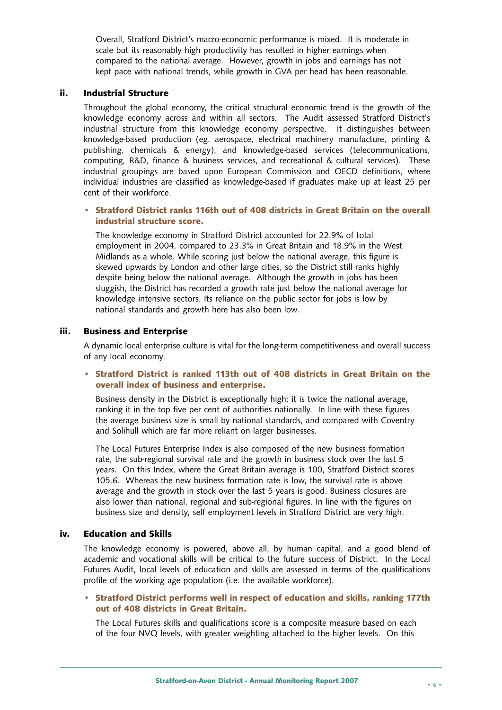Overall, Stratford District's macro-economic performance is mixed. It is moderate in scale but its reasonably high productivity has resulted in higher earnings when compared to the national average. However, growth in jobs and earnings has not kept pace with national trends, while growth in GVA per head has been reasonable.

#### **ii. Industrial Structure**

Throughout the global economy, the critical structural economic trend is the growth of the knowledge economy across and within all sectors. The Audit assessed Stratford District's industrial structure from this knowledge economy perspective. It distinguishes between knowledge-based production (eg. aerospace, electrical machinery manufacture, printing & publishing, chemicals & energy), and knowledge-based services (telecommunications, computing, R&D, finance & business services, and recreational & cultural services). These industrial groupings are based upon European Commission and OECD definitions, where individual industries are classified as knowledge-based if graduates make up at least 25 per cent of their workforce.

#### **• Stratford District ranks 116th out of 408 districts in Great Britain on the overall industrial structure score.**

The knowledge economy in Stratford District accounted for 22.9% of total employment in 2004, compared to 23.3% in Great Britain and 18.9% in the West Midlands as a whole. While scoring just below the national average, this figure is skewed upwards by London and other large cities, so the District still ranks highly despite being below the national average. Although the growth in jobs has been sluggish, the District has recorded a growth rate just below the national average for knowledge intensive sectors. Its reliance on the public sector for jobs is low by national standards and growth here has also been low.

#### **iii. Business and Enterprise**

A dynamic local enterprise culture is vital for the long-term competitiveness and overall success of any local economy.

#### **• Stratford District is ranked 113th out of 408 districts in Great Britain on the overall index of business and enterprise.**

Business density in the District is exceptionally high; it is twice the national average, ranking it in the top five per cent of authorities nationally. In line with these figures the average business size is small by national standards, and compared with Coventry and Solihull which are far more reliant on larger businesses.

The Local Futures Enterprise Index is also composed of the new business formation rate, the sub-regional survival rate and the growth in business stock over the last 5 years. On this Index, where the Great Britain average is 100, Stratford District scores 105.6. Whereas the new business formation rate is low, the survival rate is above average and the growth in stock over the last 5 years is good. Business closures are also lower than national, regional and sub-regional figures. In line with the figures on business size and density, self employment levels in Stratford District are very high.

#### **iv. Education and Skills**

The knowledge economy is powered, above all, by human capital, and a good blend of academic and vocational skills will be critical to the future success of District. In the Local Futures Audit, local levels of education and skills are assessed in terms of the qualifications profile of the working age population (i.e. the available workforce).

#### **• Stratford District performs well in respect of education and skills, ranking 177th out of 408 districts in Great Britain.**

The Local Futures skills and qualifications score is a composite measure based on each of the four NVQ levels, with greater weighting attached to the higher levels. On this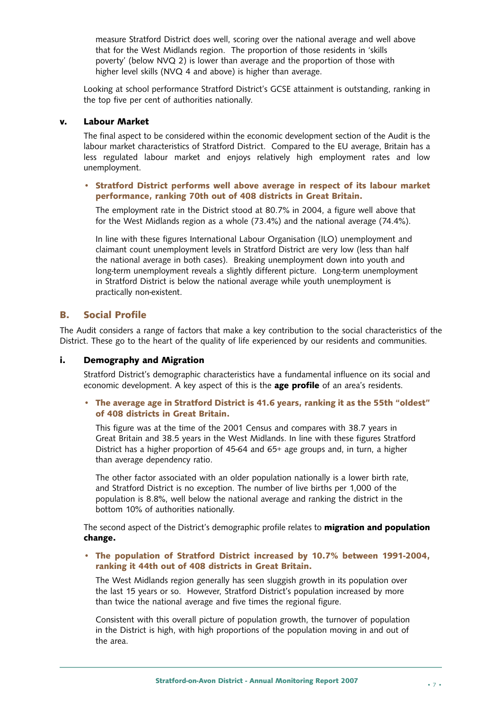measure Stratford District does well, scoring over the national average and well above that for the West Midlands region. The proportion of those residents in 'skills poverty' (below NVQ 2) is lower than average and the proportion of those with higher level skills (NVQ 4 and above) is higher than average.

Looking at school performance Stratford District's GCSE attainment is outstanding, ranking in the top five per cent of authorities nationally.

#### **v. Labour Market**

The final aspect to be considered within the economic development section of the Audit is the labour market characteristics of Stratford District. Compared to the EU average, Britain has a less regulated labour market and enjoys relatively high employment rates and low unemployment.

#### **• Stratford District performs well above average in respect of its labour market performance, ranking 70th out of 408 districts in Great Britain.**

The employment rate in the District stood at 80.7% in 2004, a figure well above that for the West Midlands region as a whole (73.4%) and the national average (74.4%).

In line with these figures International Labour Organisation (ILO) unemployment and claimant count unemployment levels in Stratford District are very low (less than half the national average in both cases). Breaking unemployment down into youth and long-term unemployment reveals a slightly different picture. Long-term unemployment in Stratford District is below the national average while youth unemployment is practically non-existent.

#### **B. Social Profile**

The Audit considers a range of factors that make a key contribution to the social characteristics of the District. These go to the heart of the quality of life experienced by our residents and communities.

#### **i. Demography and Migration**

Stratford District's demographic characteristics have a fundamental influence on its social and economic development. A key aspect of this is the **age profile** of an area's residents.

#### **• The average age in Stratford District is 41.6 years, ranking it as the 55th "oldest" of 408 districts in Great Britain.**

This figure was at the time of the 2001 Census and compares with 38.7 years in Great Britain and 38.5 years in the West Midlands. In line with these figures Stratford District has a higher proportion of 45-64 and 65+ age groups and, in turn, a higher than average dependency ratio.

The other factor associated with an older population nationally is a lower birth rate, and Stratford District is no exception. The number of live births per 1,000 of the population is 8.8%, well below the national average and ranking the district in the bottom 10% of authorities nationally.

The second aspect of the District's demographic profile relates to **migration and population change.**

#### **• The population of Stratford District increased by 10.7% between 1991-2004, ranking it 44th out of 408 districts in Great Britain.**

The West Midlands region generally has seen sluggish growth in its population over the last 15 years or so. However, Stratford District's population increased by more than twice the national average and five times the regional figure.

Consistent with this overall picture of population growth, the turnover of population in the District is high, with high proportions of the population moving in and out of the area.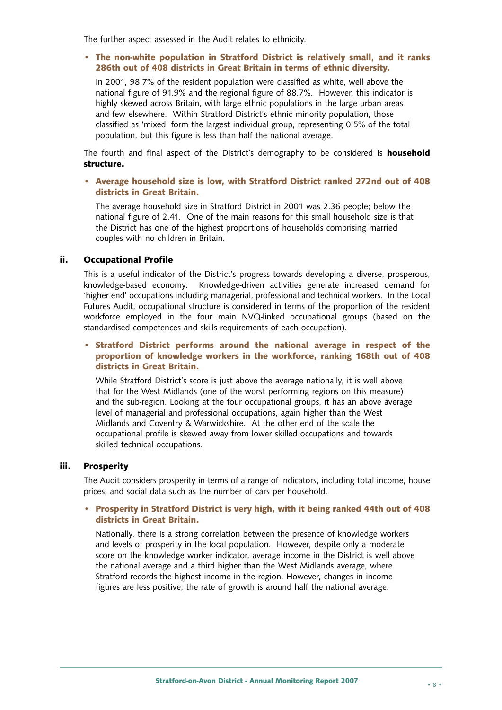The further aspect assessed in the Audit relates to ethnicity.

#### **• The non-white population in Stratford District is relatively small, and it ranks 286th out of 408 districts in Great Britain in terms of ethnic diversity.**

In 2001, 98.7% of the resident population were classified as white, well above the national figure of 91.9% and the regional figure of 88.7%. However, this indicator is highly skewed across Britain, with large ethnic populations in the large urban areas and few elsewhere. Within Stratford District's ethnic minority population, those classified as 'mixed' form the largest individual group, representing 0.5% of the total population, but this figure is less than half the national average.

The fourth and final aspect of the District's demography to be considered is **household structure.**

**• Average household size is low, with Stratford District ranked 272nd out of 408 districts in Great Britain.**

The average household size in Stratford District in 2001 was 2.36 people; below the national figure of 2.41. One of the main reasons for this small household size is that the District has one of the highest proportions of households comprising married couples with no children in Britain.

#### **ii. Occupational Profile**

This is a useful indicator of the District's progress towards developing a diverse, prosperous, knowledge-based economy. Knowledge-driven activities generate increased demand for 'higher end' occupations including managerial, professional and technical workers. In the Local Futures Audit, occupational structure is considered in terms of the proportion of the resident workforce employed in the four main NVQ-linked occupational groups (based on the standardised competences and skills requirements of each occupation).

#### **• Stratford District performs around the national average in respect of the proportion of knowledge workers in the workforce, ranking 168th out of 408 districts in Great Britain.**

While Stratford District's score is just above the average nationally, it is well above that for the West Midlands (one of the worst performing regions on this measure) and the sub-region. Looking at the four occupational groups, it has an above average level of managerial and professional occupations, again higher than the West Midlands and Coventry & Warwickshire. At the other end of the scale the occupational profile is skewed away from lower skilled occupations and towards skilled technical occupations.

#### **iii. Prosperity**

The Audit considers prosperity in terms of a range of indicators, including total income, house prices, and social data such as the number of cars per household.

#### **• Prosperity in Stratford District is very high, with it being ranked 44th out of 408 districts in Great Britain.**

Nationally, there is a strong correlation between the presence of knowledge workers and levels of prosperity in the local population. However, despite only a moderate score on the knowledge worker indicator, average income in the District is well above the national average and a third higher than the West Midlands average, where Stratford records the highest income in the region. However, changes in income figures are less positive; the rate of growth is around half the national average.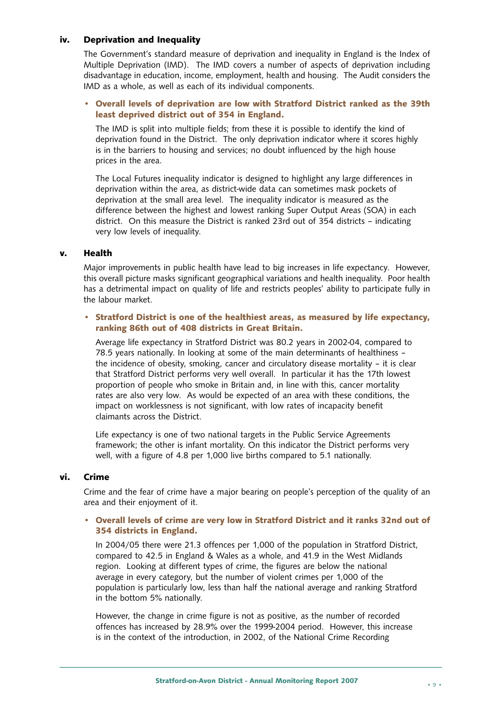#### **iv. Deprivation and Inequality**

The Government's standard measure of deprivation and inequality in England is the Index of Multiple Deprivation (IMD). The IMD covers a number of aspects of deprivation including disadvantage in education, income, employment, health and housing. The Audit considers the IMD as a whole, as well as each of its individual components.

#### **• Overall levels of deprivation are low with Stratford District ranked as the 39th least deprived district out of 354 in England.**

The IMD is split into multiple fields; from these it is possible to identify the kind of deprivation found in the District. The only deprivation indicator where it scores highly is in the barriers to housing and services; no doubt influenced by the high house prices in the area.

The Local Futures inequality indicator is designed to highlight any large differences in deprivation within the area, as district-wide data can sometimes mask pockets of deprivation at the small area level. The inequality indicator is measured as the difference between the highest and lowest ranking Super Output Areas (SOA) in each district. On this measure the District is ranked 23rd out of 354 districts – indicating very low levels of inequality.

#### **v. Health**

Major improvements in public health have lead to big increases in life expectancy. However, this overall picture masks significant geographical variations and health inequality. Poor health has a detrimental impact on quality of life and restricts peoples' ability to participate fully in the labour market.

#### **• Stratford District is one of the healthiest areas, as measured by life expectancy, ranking 86th out of 408 districts in Great Britain.**

Average life expectancy in Stratford District was 80.2 years in 2002-04, compared to 78.5 years nationally. In looking at some of the main determinants of healthiness – the incidence of obesity, smoking, cancer and circulatory disease mortality – it is clear that Stratford District performs very well overall. In particular it has the 17th lowest proportion of people who smoke in Britain and, in line with this, cancer mortality rates are also very low. As would be expected of an area with these conditions, the impact on worklessness is not significant, with low rates of incapacity benefit claimants across the District.

Life expectancy is one of two national targets in the Public Service Agreements framework; the other is infant mortality. On this indicator the District performs very well, with a figure of 4.8 per 1,000 live births compared to 5.1 nationally.

#### **vi. Crime**

Crime and the fear of crime have a major bearing on people's perception of the quality of an area and their enjoyment of it.

#### **• Overall levels of crime are very low in Stratford District and it ranks 32nd out of 354 districts in England.**

In 2004/05 there were 21.3 offences per 1,000 of the population in Stratford District, compared to 42.5 in England & Wales as a whole, and 41.9 in the West Midlands region. Looking at different types of crime, the figures are below the national average in every category, but the number of violent crimes per 1,000 of the population is particularly low, less than half the national average and ranking Stratford in the bottom 5% nationally.

However, the change in crime figure is not as positive, as the number of recorded offences has increased by 28.9% over the 1999-2004 period. However, this increase is in the context of the introduction, in 2002, of the National Crime Recording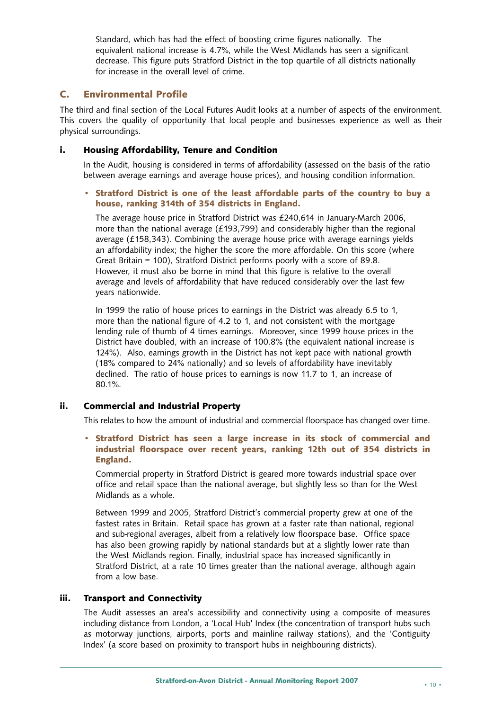Standard, which has had the effect of boosting crime figures nationally. The equivalent national increase is 4.7%, while the West Midlands has seen a significant decrease. This figure puts Stratford District in the top quartile of all districts nationally for increase in the overall level of crime.

#### **C. Environmental Profile**

The third and final section of the Local Futures Audit looks at a number of aspects of the environment. This covers the quality of opportunity that local people and businesses experience as well as their physical surroundings.

#### **i. Housing Affordability, Tenure and Condition**

In the Audit, housing is considered in terms of affordability (assessed on the basis of the ratio between average earnings and average house prices), and housing condition information.

#### **• Stratford District is one of the least affordable parts of the country to buy a house, ranking 314th of 354 districts in England.**

The average house price in Stratford District was £240,614 in January-March 2006, more than the national average (£193,799) and considerably higher than the regional average (£158,343). Combining the average house price with average earnings yields an affordability index; the higher the score the more affordable. On this score (where Great Britain = 100), Stratford District performs poorly with a score of 89.8. However, it must also be borne in mind that this figure is relative to the overall average and levels of affordability that have reduced considerably over the last few years nationwide.

In 1999 the ratio of house prices to earnings in the District was already 6.5 to 1, more than the national figure of 4.2 to 1, and not consistent with the mortgage lending rule of thumb of 4 times earnings. Moreover, since 1999 house prices in the District have doubled, with an increase of 100.8% (the equivalent national increase is 124%). Also, earnings growth in the District has not kept pace with national growth (18% compared to 24% nationally) and so levels of affordability have inevitably declined. The ratio of house prices to earnings is now 11.7 to 1, an increase of 80.1%.

#### **ii. Commercial and Industrial Property**

This relates to how the amount of industrial and commercial floorspace has changed over time.

**• Stratford District has seen a large increase in its stock of commercial and industrial floorspace over recent years, ranking 12th out of 354 districts in England.**

Commercial property in Stratford District is geared more towards industrial space over office and retail space than the national average, but slightly less so than for the West Midlands as a whole.

Between 1999 and 2005, Stratford District's commercial property grew at one of the fastest rates in Britain. Retail space has grown at a faster rate than national, regional and sub-regional averages, albeit from a relatively low floorspace base. Office space has also been growing rapidly by national standards but at a slightly lower rate than the West Midlands region. Finally, industrial space has increased significantly in Stratford District, at a rate 10 times greater than the national average, although again from a low base.

#### **iii. Transport and Connectivity**

The Audit assesses an area's accessibility and connectivity using a composite of measures including distance from London, a 'Local Hub' Index (the concentration of transport hubs such as motorway junctions, airports, ports and mainline railway stations), and the 'Contiguity Index' (a score based on proximity to transport hubs in neighbouring districts).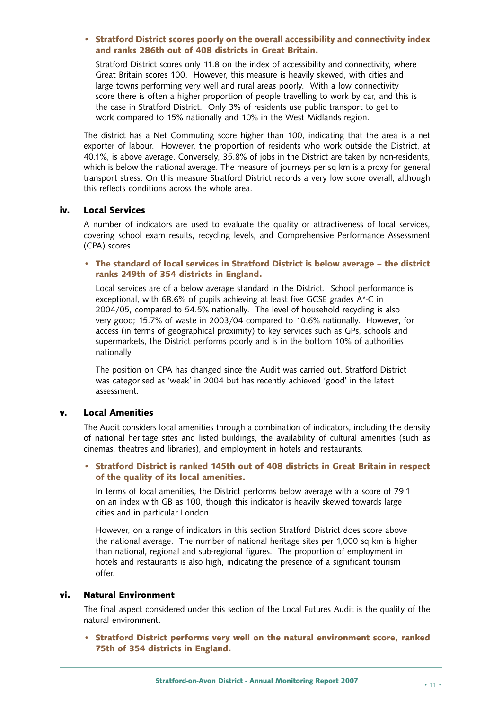#### **• Stratford District scores poorly on the overall accessibility and connectivity index and ranks 286th out of 408 districts in Great Britain.**

Stratford District scores only 11.8 on the index of accessibility and connectivity, where Great Britain scores 100. However, this measure is heavily skewed, with cities and large towns performing very well and rural areas poorly. With a low connectivity score there is often a higher proportion of people travelling to work by car, and this is the case in Stratford District. Only 3% of residents use public transport to get to work compared to 15% nationally and 10% in the West Midlands region.

The district has a Net Commuting score higher than 100, indicating that the area is a net exporter of labour. However, the proportion of residents who work outside the District, at 40.1%, is above average. Conversely, 35.8% of jobs in the District are taken by non-residents, which is below the national average. The measure of journeys per sq km is a proxy for general transport stress. On this measure Stratford District records a very low score overall, although this reflects conditions across the whole area.

#### **iv. Local Services**

A number of indicators are used to evaluate the quality or attractiveness of local services, covering school exam results, recycling levels, and Comprehensive Performance Assessment (CPA) scores.

#### **• The standard of local services in Stratford District is below average – the district ranks 249th of 354 districts in England.**

Local services are of a below average standard in the District. School performance is exceptional, with 68.6% of pupils achieving at least five GCSE grades A\*-C in 2004/05, compared to 54.5% nationally. The level of household recycling is also very good; 15.7% of waste in 2003/04 compared to 10.6% nationally. However, for access (in terms of geographical proximity) to key services such as GPs, schools and supermarkets, the District performs poorly and is in the bottom 10% of authorities nationally.

The position on CPA has changed since the Audit was carried out. Stratford District was categorised as 'weak' in 2004 but has recently achieved 'good' in the latest assessment.

#### **v. Local Amenities**

The Audit considers local amenities through a combination of indicators, including the density of national heritage sites and listed buildings, the availability of cultural amenities (such as cinemas, theatres and libraries), and employment in hotels and restaurants.

#### **• Stratford District is ranked 145th out of 408 districts in Great Britain in respect of the quality of its local amenities.**

In terms of local amenities, the District performs below average with a score of 79.1 on an index with GB as 100, though this indicator is heavily skewed towards large cities and in particular London.

However, on a range of indicators in this section Stratford District does score above the national average. The number of national heritage sites per 1,000 sq km is higher than national, regional and sub-regional figures. The proportion of employment in hotels and restaurants is also high, indicating the presence of a significant tourism offer.

#### **vi. Natural Environment**

The final aspect considered under this section of the Local Futures Audit is the quality of the natural environment.

**• Stratford District performs very well on the natural environment score, ranked 75th of 354 districts in England.**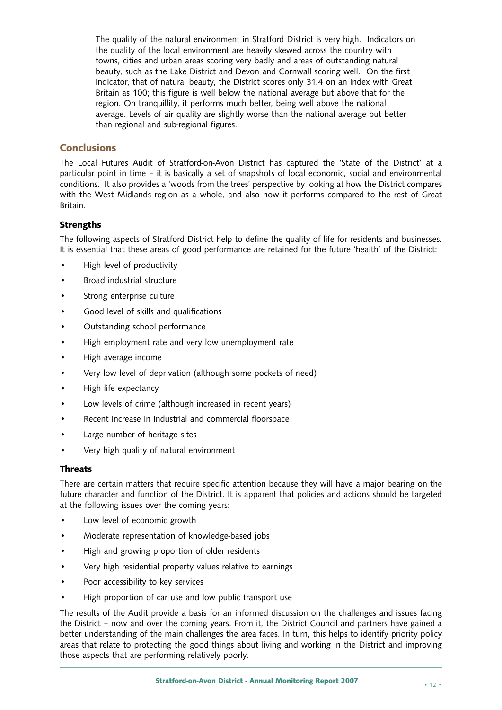The quality of the natural environment in Stratford District is very high. Indicators on the quality of the local environment are heavily skewed across the country with towns, cities and urban areas scoring very badly and areas of outstanding natural beauty, such as the Lake District and Devon and Cornwall scoring well. On the first indicator, that of natural beauty, the District scores only 31.4 on an index with Great Britain as 100; this figure is well below the national average but above that for the region. On tranquillity, it performs much better, being well above the national average. Levels of air quality are slightly worse than the national average but better than regional and sub-regional figures.

#### **Conclusions**

The Local Futures Audit of Stratford-on-Avon District has captured the 'State of the District' at a particular point in time – it is basically a set of snapshots of local economic, social and environmental conditions. It also provides a 'woods from the trees' perspective by looking at how the District compares with the West Midlands region as a whole, and also how it performs compared to the rest of Great Britain.

#### **Strengths**

The following aspects of Stratford District help to define the quality of life for residents and businesses. It is essential that these areas of good performance are retained for the future 'health' of the District:

- High level of productivity
- Broad industrial structure
- Strong enterprise culture
- Good level of skills and qualifications
- Outstanding school performance
- High employment rate and very low unemployment rate
- High average income
- Very low level of deprivation (although some pockets of need)
- High life expectancy
- Low levels of crime (although increased in recent years)
- Recent increase in industrial and commercial floorspace
- Large number of heritage sites
- Very high quality of natural environment

#### **Threats**

There are certain matters that require specific attention because they will have a major bearing on the future character and function of the District. It is apparent that policies and actions should be targeted at the following issues over the coming years:

- Low level of economic growth
- Moderate representation of knowledge-based jobs
- High and growing proportion of older residents
- Very high residential property values relative to earnings
- Poor accessibility to key services
- High proportion of car use and low public transport use

The results of the Audit provide a basis for an informed discussion on the challenges and issues facing the District – now and over the coming years. From it, the District Council and partners have gained a better understanding of the main challenges the area faces. In turn, this helps to identify priority policy areas that relate to protecting the good things about living and working in the District and improving those aspects that are performing relatively poorly.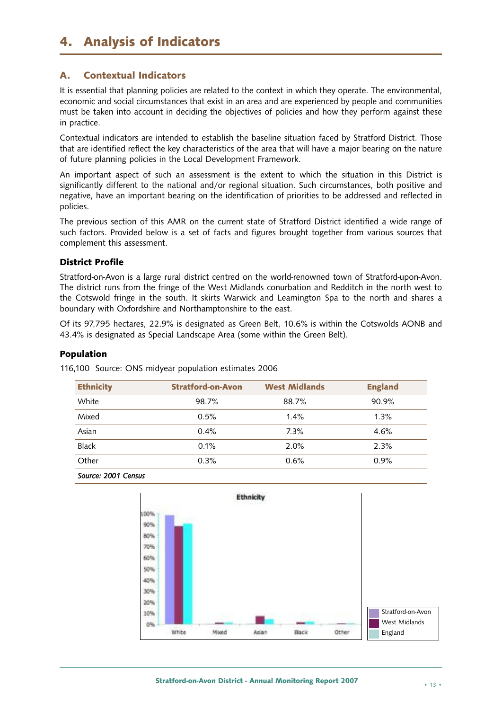## **4. Analysis of Indicators**

#### **A. Contextual Indicators**

It is essential that planning policies are related to the context in which they operate. The environmental, economic and social circumstances that exist in an area and are experienced by people and communities must be taken into account in deciding the objectives of policies and how they perform against these in practice.

Contextual indicators are intended to establish the baseline situation faced by Stratford District. Those that are identified reflect the key characteristics of the area that will have a major bearing on the nature of future planning policies in the Local Development Framework.

An important aspect of such an assessment is the extent to which the situation in this District is significantly different to the national and/or regional situation. Such circumstances, both positive and negative, have an important bearing on the identification of priorities to be addressed and reflected in policies.

The previous section of this AMR on the current state of Stratford District identified a wide range of such factors. Provided below is a set of facts and figures brought together from various sources that complement this assessment.

#### **District Profile**

Stratford-on-Avon is a large rural district centred on the world-renowned town of Stratford-upon-Avon. The district runs from the fringe of the West Midlands conurbation and Redditch in the north west to the Cotswold fringe in the south. It skirts Warwick and Leamington Spa to the north and shares a boundary with Oxfordshire and Northamptonshire to the east.

Of its 97,795 hectares, 22.9% is designated as Green Belt, 10.6% is within the Cotswolds AONB and 43.4% is designated as Special Landscape Area (some within the Green Belt).

#### **Population**

116,100 Source: ONS midyear population estimates 2006

| <b>Ethnicity</b>    | <b>Stratford-on-Avon</b> | <b>West Midlands</b> | <b>England</b> |  |  |  |
|---------------------|--------------------------|----------------------|----------------|--|--|--|
| White               | 98.7%                    | 88.7%                | 90.9%          |  |  |  |
| Mixed               | 0.5%                     | 1.4%                 | 1.3%           |  |  |  |
| Asian               | 0.4%                     | 7.3%                 | 4.6%           |  |  |  |
| <b>Black</b>        | 0.1%                     | 2.0%                 | 2.3%           |  |  |  |
| Other               | 0.3%                     | 0.6%                 | 0.9%           |  |  |  |
| Source: 2001 Census |                          |                      |                |  |  |  |

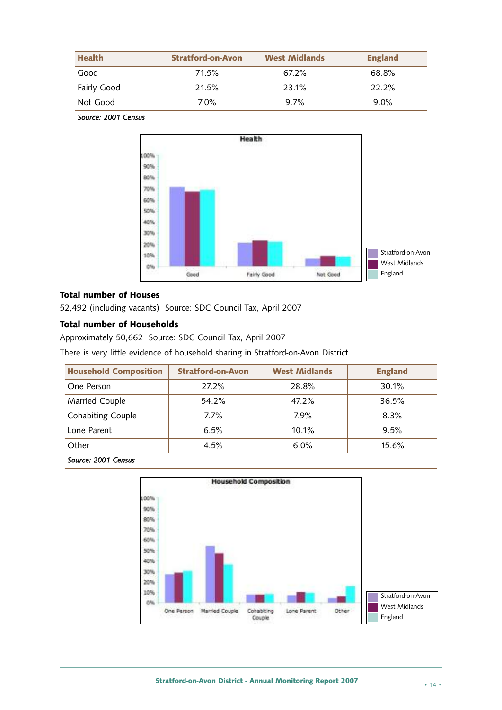| <b>Health</b>       | <b>Stratford-on-Avon</b> | <b>West Midlands</b> | <b>England</b> |  |  |  |
|---------------------|--------------------------|----------------------|----------------|--|--|--|
| Good                | 71.5%                    | 67.2%                | 68.8%          |  |  |  |
| <b>Fairly Good</b>  | 21.5%                    | 23.1%                | 22.2%          |  |  |  |
| Not Good            | $7.0\%$                  | 9.7%                 | $9.0\%$        |  |  |  |
| Source: 2001 Census |                          |                      |                |  |  |  |



#### **Total number of Houses**

52,492 (including vacants) Source: SDC Council Tax, April 2007

#### **Total number of Households**

Approximately 50,662 Source: SDC Council Tax, April 2007

There is very little evidence of household sharing in Stratford-on-Avon District.

| <b>Household Composition</b> | <b>Stratford-on-Avon</b> | <b>West Midlands</b> | <b>England</b> |
|------------------------------|--------------------------|----------------------|----------------|
| One Person                   | 27.2%                    | 28.8%                | 30.1%          |
| Married Couple               | 54.2%                    | 47.2%                | 36.5%          |
| <b>Cohabiting Couple</b>     | $7.7\%$                  | 7.9%                 | 8.3%           |
| Lone Parent                  | 6.5%                     | 10.1%                | 9.5%           |
| Other                        | 4.5%                     | 6.0%                 | 15.6%          |
| $C_{\text{c}}$               |                          |                      |                |



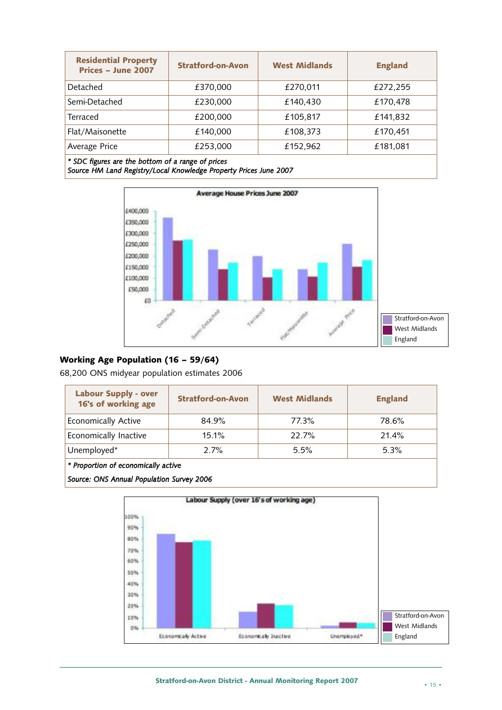| <b>Residential Property</b><br>Prices - June 2007 | <b>Stratford-on-Avon</b> | <b>West Midlands</b> | <b>England</b> |  |  |  |
|---------------------------------------------------|--------------------------|----------------------|----------------|--|--|--|
| Detached                                          | £370,000                 | £270,011             | £272,255       |  |  |  |
| Semi-Detached                                     | £230,000                 | £140,430             | £170,478       |  |  |  |
| <b>Terraced</b>                                   | £200,000                 | £105,817             | £141,832       |  |  |  |
| Flat/Maisonette                                   | £140,000                 | £108,373             | £170,451       |  |  |  |
| Average Price                                     | £253,000                 | £152,962             | £181,081       |  |  |  |
| * SDC figures are the bottom of a range of prices |                          |                      |                |  |  |  |

*Source HM Land Registry/Local Knowledge Property Prices June 2007*



#### **Working Age Population (16 – 59/64)**

68,200 ONS midyear population estimates 2006

| <b>Labour Supply - over</b><br>16's of working age | <b>Stratford-on-Avon</b> | <b>West Midlands</b> | <b>England</b> |
|----------------------------------------------------|--------------------------|----------------------|----------------|
| <b>Economically Active</b>                         | 84.9%                    | 77.3%                | 78.6%          |
| Economically Inactive                              | 15.1%                    | 22.7%                | 21.4%          |
| Unemployed*                                        | 2.7%                     | 5.5%                 | 5.3%           |

*\* Proportion of economically active*

*Source: ONS Annual Population Survey 2006*

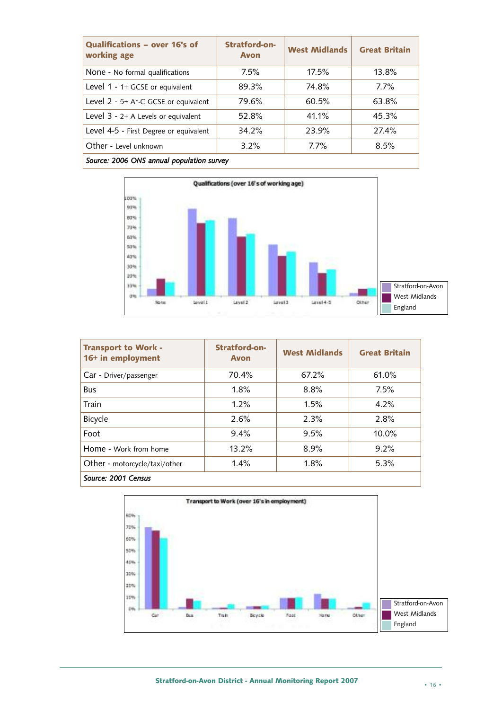| Qualifications - over 16's of<br>working age | Stratford-on-<br><b>Avon</b> | <b>West Midlands</b> | <b>Great Britain</b> |  |  |  |
|----------------------------------------------|------------------------------|----------------------|----------------------|--|--|--|
| None - No formal qualifications              | 7.5%                         | 17.5%                | 13.8%                |  |  |  |
| Level $1 - 1 + GCSE$ or equivalent           | 89.3%                        | 74.8%                | $7.7\%$              |  |  |  |
| Level 2 - 5+ A*-C GCSE or equivalent         | 79.6%                        | 60.5%                | 63.8%                |  |  |  |
| Level $3 - 2+$ A Levels or equivalent        | 52.8%                        | 41.1%                | 45.3%                |  |  |  |
| Level 4-5 - First Degree or equivalent       | 34.2%                        | 23.9%                | 27.4%                |  |  |  |
| Other - Level unknown                        | 3.2%                         | 7.7%                 | 8.5%                 |  |  |  |
| Source: 2006 ONS annual population survey    |                              |                      |                      |  |  |  |



| <b>Transport to Work -</b><br>16+ in employment | Stratford-on-<br><b>Avon</b> | <b>West Midlands</b> | <b>Great Britain</b> |  |  |  |
|-------------------------------------------------|------------------------------|----------------------|----------------------|--|--|--|
| Car - Driver/passenger                          | 70.4%                        | 67.2%                | 61.0%                |  |  |  |
| <b>Bus</b>                                      | 1.8%                         | 8.8%                 | 7.5%                 |  |  |  |
| Train                                           | 1.2%                         | 1.5%                 | 4.2%                 |  |  |  |
| Bicycle                                         | 2.6%                         | 2.3%                 | 2.8%                 |  |  |  |
| Foot                                            | 9.4%                         | 9.5%                 | $10.0\%$             |  |  |  |
| Home - Work from home                           | 13.2%                        | 8.9%                 | 9.2%                 |  |  |  |
| Other - motorcycle/taxi/other                   | 1.4%                         | 1.8%                 | 5.3%                 |  |  |  |
| Source: 2001 Census                             |                              |                      |                      |  |  |  |

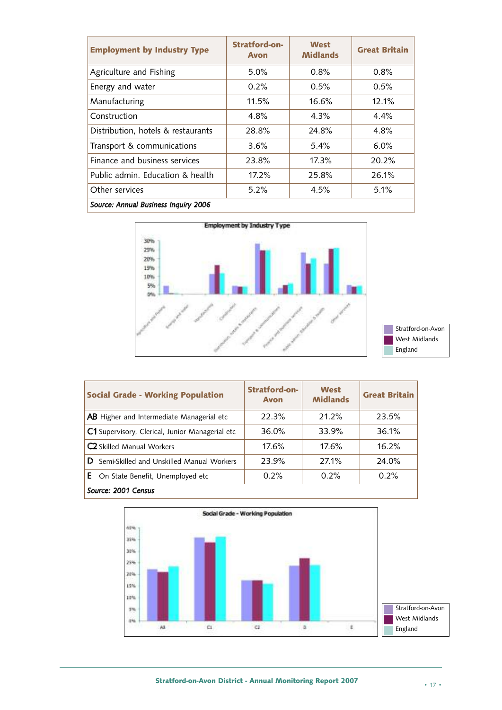| <b>Employment by Industry Type</b>   | Stratford-on-<br><b>Avon</b> | West<br><b>Midlands</b> | <b>Great Britain</b> |  |  |  |
|--------------------------------------|------------------------------|-------------------------|----------------------|--|--|--|
| Agriculture and Fishing              | $5.0\%$                      | 0.8%                    | 0.8%                 |  |  |  |
| Energy and water                     | $0.2\%$                      | 0.5%                    | 0.5%                 |  |  |  |
| Manufacturing                        | 11.5%                        | 16.6%                   | 12.1%                |  |  |  |
| Construction                         | 4.8%                         | 4.3%                    | 4.4%                 |  |  |  |
| Distribution, hotels & restaurants   | 28.8%                        | 24.8%                   | 4.8%                 |  |  |  |
| Transport & communications           | 3.6%                         | 5.4%                    | $6.0\%$              |  |  |  |
| Finance and business services        | 23.8%                        | 17.3%                   | 20.2%                |  |  |  |
| Public admin. Education & health     | $17.2\%$                     | 25.8%                   | 26.1%                |  |  |  |
| Other services                       | $5.2\%$                      | 4.5%                    | 5.1%                 |  |  |  |
| Source: Annual Business Inquiry 2006 |                              |                         |                      |  |  |  |





| <b>Social Grade - Working Population</b>         | Stratford-on-<br><b>Avon</b> | West<br><b>Midlands</b> | <b>Great Britain</b> |  |  |  |  |
|--------------------------------------------------|------------------------------|-------------------------|----------------------|--|--|--|--|
| <b>AB</b> Higher and Intermediate Managerial etc | 22.3%                        | 21.2%                   | 23.5%                |  |  |  |  |
| C1 Supervisory, Clerical, Junior Managerial etc  | 36.0%                        | 33.9%                   | 36.1%                |  |  |  |  |
| <b>C2</b> Skilled Manual Workers                 | 17.6%                        | 17.6%                   | 16.2%                |  |  |  |  |
| D.<br>Semi-Skilled and Unskilled Manual Workers  | 23.9%                        | 27.1%                   | 24.0%                |  |  |  |  |
| <b>E</b> On State Benefit, Unemployed etc        | 0.2%                         | $0.2\%$                 | 0.2%                 |  |  |  |  |
| Source: 2001 Census                              |                              |                         |                      |  |  |  |  |

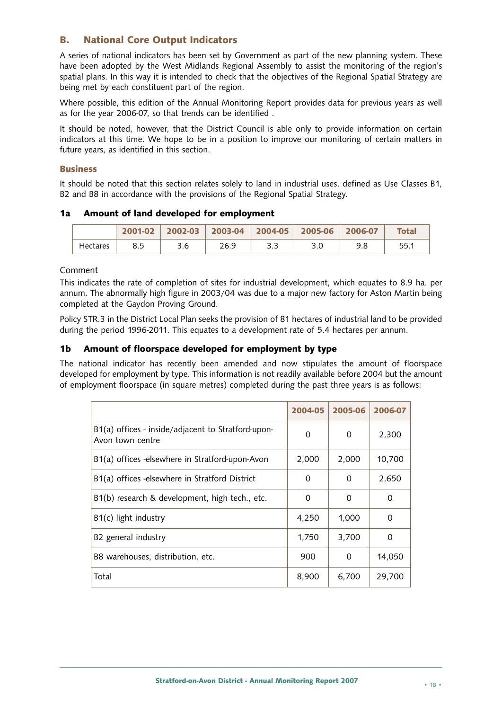#### **B. National Core Output Indicators**

A series of national indicators has been set by Government as part of the new planning system. These have been adopted by the West Midlands Regional Assembly to assist the monitoring of the region's spatial plans. In this way it is intended to check that the objectives of the Regional Spatial Strategy are being met by each constituent part of the region.

Where possible, this edition of the Annual Monitoring Report provides data for previous years as well as for the year 2006-07, so that trends can be identified .

It should be noted, however, that the District Council is able only to provide information on certain indicators at this time. We hope to be in a position to improve our monitoring of certain matters in future years, as identified in this section.

#### **Business**

It should be noted that this section relates solely to land in industrial uses, defined as Use Classes B1, B2 and B8 in accordance with the provisions of the Regional Spatial Strategy.

#### **1a Amount of land developed for employment**

|                 | 2001-02 | $2002 - 03$ |      | 2003-04   2004-05 | $2005 - 06$ | 2006-07 | <b>Total</b> |
|-----------------|---------|-------------|------|-------------------|-------------|---------|--------------|
| <b>Hectares</b> | 85      | 3.6         | 26.9 | 3.3               |             | 9.8     | 55.1         |

#### Comment

This indicates the rate of completion of sites for industrial development, which equates to 8.9 ha. per annum. The abnormally high figure in 2003/04 was due to a major new factory for Aston Martin being completed at the Gaydon Proving Ground.

Policy STR.3 in the District Local Plan seeks the provision of 81 hectares of industrial land to be provided during the period 1996-2011. This equates to a development rate of 5.4 hectares per annum.

#### **1b Amount of floorspace developed for employment by type**

The national indicator has recently been amended and now stipulates the amount of floorspace developed for employment by type. This information is not readily available before 2004 but the amount of employment floorspace (in square metres) completed during the past three years is as follows:

|                                                                        | 2004-05 | 2005-06 | 2006-07 |
|------------------------------------------------------------------------|---------|---------|---------|
| B1(a) offices - inside/adjacent to Stratford-upon-<br>Avon town centre | 0       | 0       | 2,300   |
| B1(a) offices -elsewhere in Stratford-upon-Avon                        | 2,000   | 2,000   | 10,700  |
| B1(a) offices -elsewhere in Stratford District                         | 0       | 0       | 2,650   |
| B1(b) research & development, high tech., etc.                         | 0       | 0       | 0       |
| B1(c) light industry                                                   | 4,250   | 1,000   | 0       |
| B2 general industry                                                    | 1,750   | 3,700   | 0       |
| B8 warehouses, distribution, etc.                                      | 900     | 0       | 14,050  |
| Total                                                                  | 8,900   | 6,700   | 29,700  |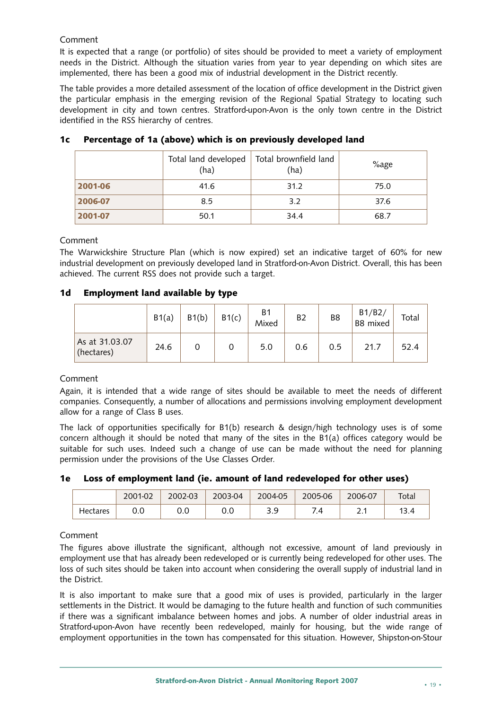#### Comment

It is expected that a range (or portfolio) of sites should be provided to meet a variety of employment needs in the District. Although the situation varies from year to year depending on which sites are implemented, there has been a good mix of industrial development in the District recently.

The table provides a more detailed assessment of the location of office development in the District given the particular emphasis in the emerging revision of the Regional Spatial Strategy to locating such development in city and town centres. Stratford-upon-Avon is the only town centre in the District identified in the RSS hierarchy of centres.

|         | Total land developed<br>(ha) | Total brownfield land<br>(ha) | %age |
|---------|------------------------------|-------------------------------|------|
| 2001-06 | 41.6                         | 31.2                          | 75.0 |
| 2006-07 | 8.5                          | 3.2                           | 37.6 |
| 2001-07 | 50.1                         | 34.4                          | 68.7 |

#### **1c Percentage of 1a (above) which is on previously developed land**

#### Comment

The Warwickshire Structure Plan (which is now expired) set an indicative target of 60% for new industrial development on previously developed land in Stratford-on-Avon District. Overall, this has been achieved. The current RSS does not provide such a target.

| 1d |  |  |  | <b>Employment land available by type</b> |  |  |
|----|--|--|--|------------------------------------------|--|--|
|----|--|--|--|------------------------------------------|--|--|

|                              | B1(a) | B1(b) | B1(c) | <b>B1</b><br>Mixed | B <sub>2</sub> | B8  | B1/B2/<br>B8 mixed | Total |
|------------------------------|-------|-------|-------|--------------------|----------------|-----|--------------------|-------|
| As at 31.03.07<br>(hectares) | 24.6  |       |       | 5.0                | 0.6            | 0.5 | 21.7               | 52.4  |

#### Comment

Again, it is intended that a wide range of sites should be available to meet the needs of different companies. Consequently, a number of allocations and permissions involving employment development allow for a range of Class B uses.

The lack of opportunities specifically for B1(b) research & design/high technology uses is of some concern although it should be noted that many of the sites in the B1(a) offices category would be suitable for such uses. Indeed such a change of use can be made without the need for planning permission under the provisions of the Use Classes Order.

#### **1e Loss of employment land (ie. amount of land redeveloped for other uses)**

|          | 2001-02 | 2002-03 | 2003-04 | 2004-05   | 2005-06 | 2006-07 | Total |
|----------|---------|---------|---------|-----------|---------|---------|-------|
| Hectares | 0.0     | 0.0     | v.u     | эa<br>ر.ر | ⇁       |         | 13.4  |

#### Comment

The figures above illustrate the significant, although not excessive, amount of land previously in employment use that has already been redeveloped or is currently being redeveloped for other uses. The loss of such sites should be taken into account when considering the overall supply of industrial land in the District.

It is also important to make sure that a good mix of uses is provided, particularly in the larger settlements in the District. It would be damaging to the future health and function of such communities if there was a significant imbalance between homes and jobs. A number of older industrial areas in Stratford-upon-Avon have recently been redeveloped, mainly for housing, but the wide range of employment opportunities in the town has compensated for this situation. However, Shipston-on-Stour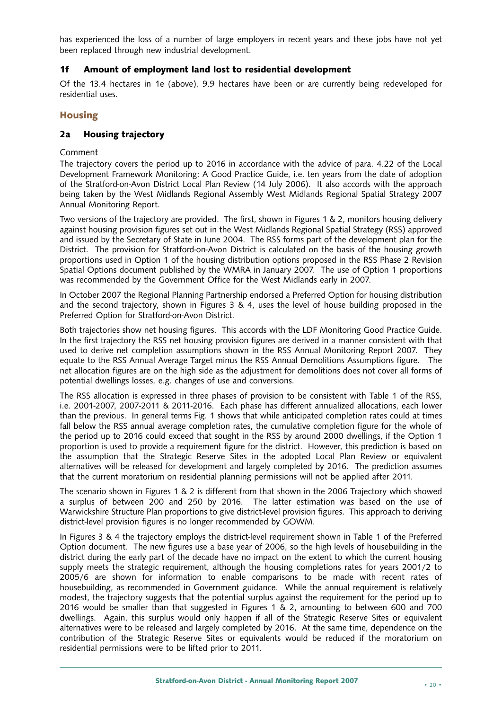has experienced the loss of a number of large employers in recent years and these jobs have not yet been replaced through new industrial development.

#### **1f Amount of employment land lost to residential development**

Of the 13.4 hectares in 1e (above), 9.9 hectares have been or are currently being redeveloped for residential uses.

#### **Housing**

#### **2a Housing trajectory**

#### Comment

The trajectory covers the period up to 2016 in accordance with the advice of para. 4.22 of the Local Development Framework Monitoring: A Good Practice Guide, i.e. ten years from the date of adoption of the Stratford-on-Avon District Local Plan Review (14 July 2006). It also accords with the approach being taken by the West Midlands Regional Assembly West Midlands Regional Spatial Strategy 2007 Annual Monitoring Report.

Two versions of the trajectory are provided. The first, shown in Figures 1 & 2, monitors housing delivery against housing provision figures set out in the West Midlands Regional Spatial Strategy (RSS) approved and issued by the Secretary of State in June 2004. The RSS forms part of the development plan for the District. The provision for Stratford-on-Avon District is calculated on the basis of the housing growth proportions used in Option 1 of the housing distribution options proposed in the RSS Phase 2 Revision Spatial Options document published by the WMRA in January 2007. The use of Option 1 proportions was recommended by the Government Office for the West Midlands early in 2007.

In October 2007 the Regional Planning Partnership endorsed a Preferred Option for housing distribution and the second trajectory, shown in Figures 3 & 4, uses the level of house building proposed in the Preferred Option for Stratford-on-Avon District.

Both trajectories show net housing figures. This accords with the LDF Monitoring Good Practice Guide. In the first trajectory the RSS net housing provision figures are derived in a manner consistent with that used to derive net completion assumptions shown in the RSS Annual Monitoring Report 2007. They equate to the RSS Annual Average Target minus the RSS Annual Demolitions Assumptions figure. The net allocation figures are on the high side as the adjustment for demolitions does not cover all forms of potential dwellings losses, e.g. changes of use and conversions.

The RSS allocation is expressed in three phases of provision to be consistent with Table 1 of the RSS, i.e. 2001-2007, 2007-2011 & 2011-2016. Each phase has different annualized allocations, each lower than the previous. In general terms Fig. 1 shows that while anticipated completion rates could at times fall below the RSS annual average completion rates, the cumulative completion figure for the whole of the period up to 2016 could exceed that sought in the RSS by around 2000 dwellings, if the Option 1 proportion is used to provide a requirement figure for the district. However, this prediction is based on the assumption that the Strategic Reserve Sites in the adopted Local Plan Review or equivalent alternatives will be released for development and largely completed by 2016. The prediction assumes that the current moratorium on residential planning permissions will not be applied after 2011.

The scenario shown in Figures 1 & 2 is different from that shown in the 2006 Trajectory which showed a surplus of between 200 and 250 by 2016. The latter estimation was based on the use of Warwickshire Structure Plan proportions to give district-level provision figures. This approach to deriving district-level provision figures is no longer recommended by GOWM.

In Figures 3 & 4 the trajectory employs the district-level requirement shown in Table 1 of the Preferred Option document. The new figures use a base year of 2006, so the high levels of housebuilding in the district during the early part of the decade have no impact on the extent to which the current housing supply meets the strategic requirement, although the housing completions rates for years 2001/2 to 2005/6 are shown for information to enable comparisons to be made with recent rates of housebuilding, as recommended in Government guidance. While the annual requirement is relatively modest, the trajectory suggests that the potential surplus against the requirement for the period up to 2016 would be smaller than that suggested in Figures 1 & 2, amounting to between 600 and 700 dwellings. Again, this surplus would only happen if all of the Strategic Reserve Sites or equivalent alternatives were to be released and largely completed by 2016. At the same time, dependence on the contribution of the Strategic Reserve Sites or equivalents would be reduced if the moratorium on residential permissions were to be lifted prior to 2011.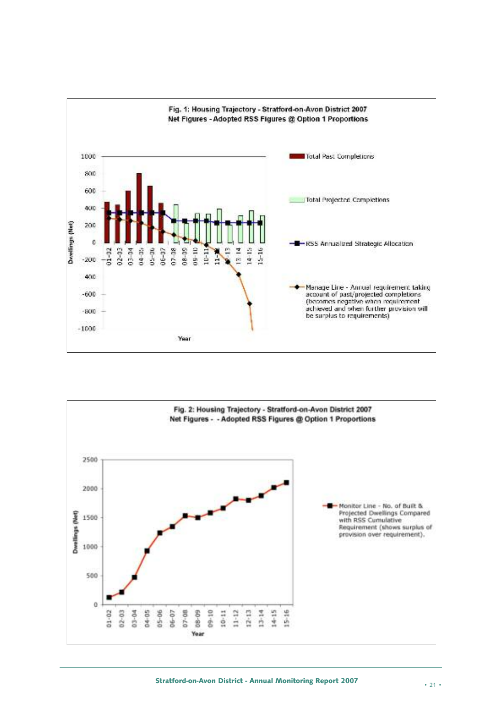

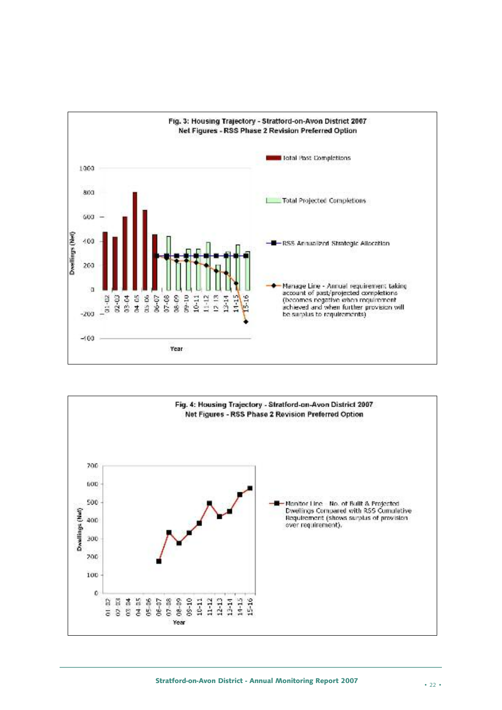

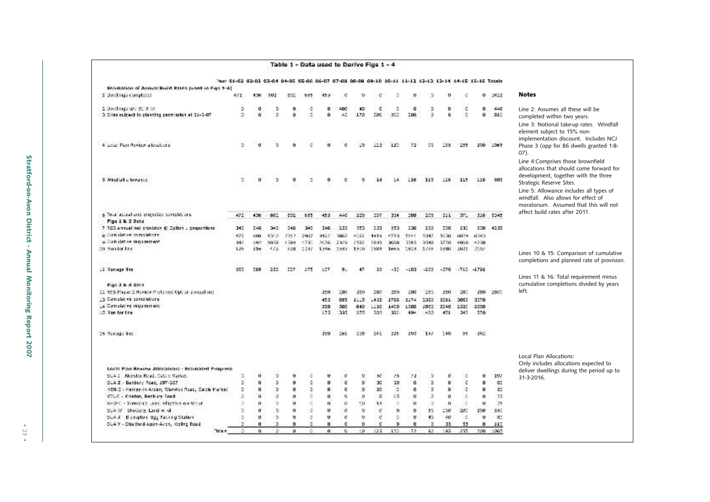|                                                                |                                                                                                      |      |              |       |              |       |       |      | Table 1 - Data used to Derive Figs 1 - 4 |          |            |              |        |              |      |               |            |                                                                                                                                                                         |
|----------------------------------------------------------------|------------------------------------------------------------------------------------------------------|------|--------------|-------|--------------|-------|-------|------|------------------------------------------|----------|------------|--------------|--------|--------------|------|---------------|------------|-------------------------------------------------------------------------------------------------------------------------------------------------------------------------|
|                                                                | Mar 01-02 02-03 03-04 04-05 05-06 06-07 07-08 08-09 09-10 10-11 11-11 12-13 12-14 14-15 15-16 Totals |      |              |       |              |       |       |      |                                          |          |            |              |        |              |      |               |            |                                                                                                                                                                         |
| Estimation of Annual Build Rates (used in Figs 1-4)            |                                                                                                      |      |              |       |              |       |       |      |                                          |          |            |              |        |              |      |               |            |                                                                                                                                                                         |
| 1 Dachings completed                                           |                                                                                                      | 452. | 436          | 502   | etc.         |       | 45.5  | O    | w                                        | o        | ō          |              |        | u            | ø    |               | $0 - 3422$ | <b>Notes</b>                                                                                                                                                            |
| 2. Darchings (0): 31, 3-07                                     |                                                                                                      | ۰    | a            | Þ     | Ð            | ×     | o     | 400  | 40                                       | ×.       | ٠          | a            | ۰      | D            | ۰    | ۰             | 440        | Line 2: Assumes all these will be                                                                                                                                       |
| 3. Sites subject to planning permission at 33-2-07.            |                                                                                                      | o.   | a.           | ō.    | $\alpha$     | ۰     | o     | 40   | 120                                      | 200      | 200        | 200          | ö.     | a.           | ċ    | o.            | <b>DIC</b> | completed within two years.                                                                                                                                             |
| 4 copal Plan Review a locations.                               |                                                                                                      | ö.   | $\mathbf{d}$ | ×,    | o            | c     | n     | O    | 56                                       | 123      | 125        | 72           | 95     | 195          | 255  |               | 200 1065   | Line 3: Notional take-up rates. Windfall<br>element subject to 15% non-<br>implementation discount. Includes NCJ<br>Phase 3 (opp for 86 dwells granted 1-8-<br>$(07)$ . |
| 5 Windfall a lowance                                           |                                                                                                      | ۰    | σ            | ь     | o            | c     | o     | ø    | ۰                                        |          | 14         | 116          | 115    | 116          | 11e  | 116           | 605        | Line 4:Comprises those brownfield<br>allocations that should come forward for<br>development, together with the three<br>Strategic Reserve Sites.                       |
|                                                                |                                                                                                      |      |              |       |              |       |       |      |                                          |          |            |              |        |              |      |               |            | Line 5: Allowance includes all types of<br>windfall. Also allows for effect of<br>moratorium. Assumed that this will not                                                |
| is Total actual and projected completions.<br>Figs 1 B. 2 Dete |                                                                                                      | 472  | 436          | 602   | 402          | 655   | 455   | 440  | 220                                      | 337      | 324        | 588          | 205    | 221          | 371  |               | 116 5345   | affect build rates after 2011.                                                                                                                                          |
| 7.355 annual net provider @ Option J proportions.              |                                                                                                      | 345  | 246          | 345   | 746          | 340   | 146   | 253  | 250                                      | 2.51     | 253        | 200          | 233    | 200          | 230  | 200           | 42.35      |                                                                                                                                                                         |
| is Cumulation completions.                                     |                                                                                                      | 422  | 509          | 1510. | 2712         | 2957  | 3422  | 3857 | 4032                                     | 4419     | $-752$     | $55 - 1$     | 5442   | \$6.39       | 6029 | 6245          |            |                                                                                                                                                                         |
| a Cumulative requirement.                                      |                                                                                                      | 346  | 642          | 56.01 | 1.784        | 15790 | 2076  | 2229 | 2592                                     | 28.45    | <b>AGR</b> | 2819         | 3542   | 3278         | 4008 | $-1328$       |            |                                                                                                                                                                         |
| 10 Monitor Line                                                |                                                                                                      | 125  | 216          | 222   | 928          | 1257  | 1.44h | 1897 | 15:07                                    | 1,824.1  | 1mh is     | 1,823        | 3,749  | 1.931        | 2025 | 2507          |            |                                                                                                                                                                         |
|                                                                |                                                                                                      |      |              |       |              |       |       |      |                                          |          |            |              |        |              |      |               |            | Lines 10 & 15: Comparison of cumulative<br>completions and planned rate of provision.                                                                                   |
| 21 Manage the                                                  |                                                                                                      | 252  | 269          | 255   | 227.         | 175   | 127   | 9.   | 47                                       | 22       | $-12$      | $-103$       | $-223$ | $-370$       |      | $-710 - 4791$ |            | Lines 11 & 16: Total requirement minus                                                                                                                                  |
| Figs 3 & 4 Data                                                |                                                                                                      |      |              |       |              |       |       |      |                                          |          |            |              |        |              |      |               |            | cumulative completions divided by years                                                                                                                                 |
| 12. 935 Phase 2 Naview Professed Opt or annual net             |                                                                                                      |      |              |       |              |       | 250   | 280  | 250                                      | 280      | 280        | 280          | 229    | 250          | 281  | 250           | 2800       | left.                                                                                                                                                                   |
| 15 Cumpleting completions                                      |                                                                                                      |      |              |       |              |       | 455   | 095  | 1115.                                    | 1452     | 1766       | 2174         | 2353   | 2591         | 2002 | 3270          |            |                                                                                                                                                                         |
| 14 Cumpletive requirement.                                     |                                                                                                      |      |              |       |              |       | 250   | 560  | 040                                      | 1120     | 1400       | 1300         | 1960   | 2240         | 2530 | 2500          |            |                                                                                                                                                                         |
| 15 Monitor Inc.                                                |                                                                                                      |      |              |       |              |       | 175   | 235  | 275                                      | 2012     | 2001       | 494          | $-425$ | 454          | 542  | 570           |            |                                                                                                                                                                         |
| 16 Nanage Inc.                                                 |                                                                                                      |      |              |       |              |       | 250   | 26L  | 238                                      | 261      | 225        | 203          | 127    | 140          | -95  | 262           |            |                                                                                                                                                                         |
|                                                                |                                                                                                      |      |              |       |              |       |       |      |                                          |          |            |              |        |              |      |               |            | Local Plan Allocations:<br>Only includes allocations expected to                                                                                                        |
| Local Plan Review Allecations - Estudated Progress             |                                                                                                      |      |              |       |              |       |       |      |                                          |          |            |              |        |              |      |               |            | deliver dwellings during the period up to                                                                                                                               |
| SCA 1 - Alcester Read, Cattle Market,                          |                                                                                                      | ٥    | Ü            | ×     | u            | c     | U     | ø    | v                                        | 50       | 25         | 72           | ۰      | Q.           | ٠    | o.            | 197        | 31-3-2016.                                                                                                                                                              |
| SUA Z - Banbury Road, 197-207                                  |                                                                                                      | ۰    | a            | ۰     | ۰            | ¢     | ۰     | ø    | D                                        | œ        | 30         | a            | ٠      | D            | ¢    | ۰             | GD.        |                                                                                                                                                                         |
| HEN.C - Henley-In-Arden, Warwick Road, Cattle Market           |                                                                                                      | ö.   | o            | ×     | o            | ¢     | ۰     | o    | o                                        | 20       | ×.         | o            | ۰      | D            | ×.   | ۰             | 20         |                                                                                                                                                                         |
| KTLC - Kinston, Banbury Road                                   |                                                                                                      | ó    | n.           | ×     | $\alpha$     | ö     | n     | o.   | Ø.                                       | $\Omega$ | LG.        | $\mathbf{0}$ | ö.     | o.           | i.   | o             | 25         |                                                                                                                                                                         |
| SHIP C - Trientan's Lans. Shipston-on-Stour                    |                                                                                                      | b)   | ù            | by.   | ù.           | ö,    | ū.    | n    | $-11$                                    | 15       | 5.         | ū            | 5      | $\mathbf{u}$ | x.   | n.            | 28         |                                                                                                                                                                         |
| SLAW.<br>Shotters, Land V. of                                  |                                                                                                      | ۰    | $\sigma$     | b.    | o            | ۰     | ŋ.    | ø    | o                                        | ¢        | v.         | U            | 55     | 150          | 200  | 200           | 550        |                                                                                                                                                                         |
| SCA X Burroptom, Bgg Packing Station                           |                                                                                                      | ó.   | $\mathbf{0}$ | D.    | $\mathbf{u}$ | id.   | U.    | ø    | b.                                       | Ö.       | o.         | $\sigma$ .   | 45.    | $\omega$     | c    | $\bf{u}$      | 30         |                                                                                                                                                                         |
| CLAY - Stratford-upon-Aven, Kieling Road                       |                                                                                                      | Ď.   | $\sigma$     | D.    | D            | ۰     | o     | a.   | D.                                       | c        | D          | o            | ۰      | 55           | 55   | D.            | 110        |                                                                                                                                                                         |
|                                                                | TOO R                                                                                                | Δ.   | $\alpha$     | D     | $\Omega$     | G.    | û     | ٥    | 50                                       | 123      | 135        | 72           | 45     | tas.         | 255  | 200           | 1065       |                                                                                                                                                                         |

• 23 •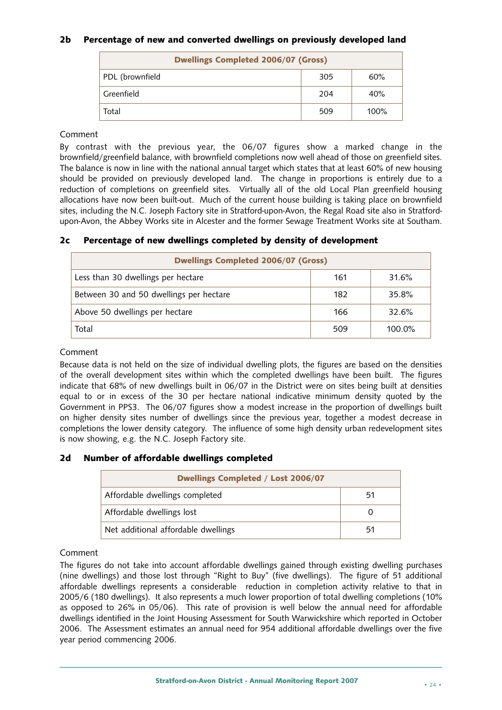#### **2b Percentage of new and converted dwellings on previously developed land**

| <b>Dwellings Completed 2006/07 (Gross)</b> |     |         |  |  |  |  |  |  |  |
|--------------------------------------------|-----|---------|--|--|--|--|--|--|--|
| PDL (brownfield                            | 305 | 60%     |  |  |  |  |  |  |  |
| Greenfield                                 | 204 | 40%     |  |  |  |  |  |  |  |
| Total                                      | 509 | $100\%$ |  |  |  |  |  |  |  |

#### Comment

By contrast with the previous year, the 06/07 figures show a marked change in the brownfield/greenfield balance, with brownfield completions now well ahead of those on greenfield sites. The balance is now in line with the national annual target which states that at least 60% of new housing should be provided on previously developed land. The change in proportions is entirely due to a reduction of completions on greenfield sites. Virtually all of the old Local Plan greenfield housing allocations have now been built-out. Much of the current house building is taking place on brownfield sites, including the N.C. Joseph Factory site in Stratford-upon-Avon, the Regal Road site also in Stratfordupon-Avon, the Abbey Works site in Alcester and the former Sewage Treatment Works site at Southam.

#### **2c Percentage of new dwellings completed by density of development**

| <b>Dwellings Completed 2006/07 (Gross)</b> |     |           |  |  |  |  |  |
|--------------------------------------------|-----|-----------|--|--|--|--|--|
| Less than 30 dwellings per hectare         | 161 | 31.6%     |  |  |  |  |  |
| Between 30 and 50 dwellings per hectare    | 182 | 35.8%     |  |  |  |  |  |
| Above 50 dwellings per hectare             | 166 | 32.6%     |  |  |  |  |  |
| Total                                      | 509 | $100.0\%$ |  |  |  |  |  |

#### Comment

Because data is not held on the size of individual dwelling plots, the figures are based on the densities of the overall development sites within which the completed dwellings have been built. The figures indicate that 68% of new dwellings built in 06/07 in the District were on sites being built at densities equal to or in excess of the 30 per hectare national indicative minimum density quoted by the Government in PPS3. The 06/07 figures show a modest increase in the proportion of dwellings built on higher density sites number of dwellings since the previous year, together a modest decrease in completions the lower density category. The influence of some high density urban redevelopment sites is now showing, e.g. the N.C. Joseph Factory site.

#### **2d Number of affordable dwellings completed**

| <b>Dwellings Completed / Lost 2006/07</b> |    |
|-------------------------------------------|----|
| Affordable dwellings completed            | 51 |
| Affordable dwellings lost                 |    |
| Net additional affordable dwellings       | 51 |

#### Comment

The figures do not take into account affordable dwellings gained through existing dwelling purchases (nine dwellings) and those lost through "Right to Buy" (five dwellings). The figure of 51 additional affordable dwellings represents a considerable reduction in completion activity relative to that in 2005/6 (180 dwellings). It also represents a much lower proportion of total dwelling completions (10% as opposed to 26% in 05/06). This rate of provision is well below the annual need for affordable dwellings identified in the Joint Housing Assessment for South Warwickshire which reported in October 2006. The Assessment estimates an annual need for 954 additional affordable dwellings over the five year period commencing 2006.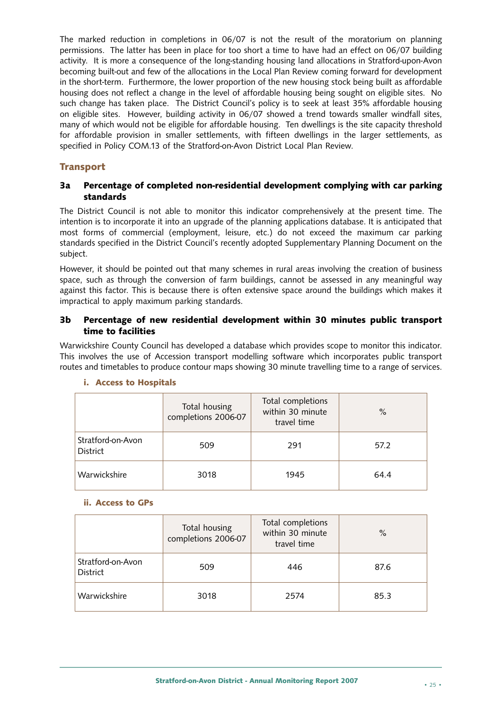The marked reduction in completions in 06/07 is not the result of the moratorium on planning permissions. The latter has been in place for too short a time to have had an effect on 06/07 building activity. It is more a consequence of the long-standing housing land allocations in Stratford-upon-Avon becoming built-out and few of the allocations in the Local Plan Review coming forward for development in the short-term. Furthermore, the lower proportion of the new housing stock being built as affordable housing does not reflect a change in the level of affordable housing being sought on eligible sites. No such change has taken place. The District Council's policy is to seek at least 35% affordable housing on eligible sites. However, building activity in 06/07 showed a trend towards smaller windfall sites, many of which would not be eligible for affordable housing. Ten dwellings is the site capacity threshold for affordable provision in smaller settlements, with fifteen dwellings in the larger settlements, as specified in Policy COM.13 of the Stratford-on-Avon District Local Plan Review.

#### **Transport**

#### **3a Percentage of completed non-residential development complying with car parking standards**

The District Council is not able to monitor this indicator comprehensively at the present time. The intention is to incorporate it into an upgrade of the planning applications database. It is anticipated that most forms of commercial (employment, leisure, etc.) do not exceed the maximum car parking standards specified in the District Council's recently adopted Supplementary Planning Document on the subject.

However, it should be pointed out that many schemes in rural areas involving the creation of business space, such as through the conversion of farm buildings, cannot be assessed in any meaningful way against this factor. This is because there is often extensive space around the buildings which makes it impractical to apply maximum parking standards.

#### **3b Percentage of new residential development within 30 minutes public transport time to facilities**

Warwickshire County Council has developed a database which provides scope to monitor this indicator. This involves the use of Accession transport modelling software which incorporates public transport routes and timetables to produce contour maps showing 30 minute travelling time to a range of services.

|                                      | Total housing<br>completions 2006-07 | Total completions<br>within 30 minute<br>travel time | $\%$ |
|--------------------------------------|--------------------------------------|------------------------------------------------------|------|
| Stratford-on-Avon<br><b>District</b> | 509                                  | 291                                                  | 57.2 |
| Warwickshire                         | 3018                                 | 1945                                                 | 64.4 |

#### **i. Access to Hospitals**

#### **ii. Access to GPs**

|                               | Total housing<br>completions 2006-07 | Total completions<br>within 30 minute<br>travel time | %    |
|-------------------------------|--------------------------------------|------------------------------------------------------|------|
| Stratford-on-Avon<br>District | 509                                  | 446                                                  | 87.6 |
| Warwickshire                  | 3018                                 | 2574                                                 | 85.3 |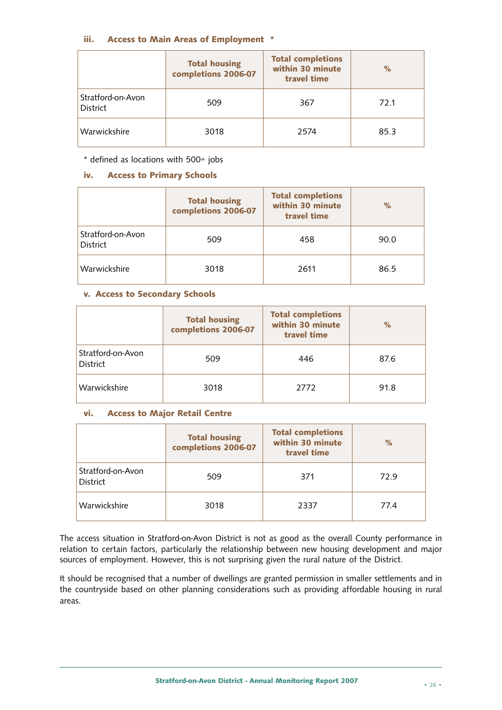#### **iii. Access to Main Areas of Employment \***

|                               | <b>Total housing</b><br>completions 2006-07 | <b>Total completions</b><br>within 30 minute<br>travel time | $\%$ |
|-------------------------------|---------------------------------------------|-------------------------------------------------------------|------|
| Stratford-on-Avon<br>District | 509                                         | 367                                                         | 72.1 |
| Warwickshire                  | 3018                                        | 2574                                                        | 85.3 |

\* defined as locations with 500+ jobs

#### **iv. Access to Primary Schools**

|                               | <b>Total housing</b><br>completions 2006-07 | <b>Total completions</b><br>within 30 minute<br>travel time | $\%$ |
|-------------------------------|---------------------------------------------|-------------------------------------------------------------|------|
| Stratford-on-Avon<br>District | 509                                         | 458                                                         | 90.0 |
| Warwickshire                  | 3018                                        | 2611                                                        | 86.5 |

#### **v. Access to Secondary Schools**

|                               | <b>Total housing</b><br>completions 2006-07 | <b>Total completions</b><br>within 30 minute<br>travel time | %    |
|-------------------------------|---------------------------------------------|-------------------------------------------------------------|------|
| Stratford-on-Avon<br>District | 509                                         | 446                                                         | 87.6 |
| Warwickshire                  | 3018                                        | 2772                                                        | 91.8 |

#### **vi. Access to Major Retail Centre**

|                               | <b>Total housing</b><br>completions 2006-07 | <b>Total completions</b><br>within 30 minute<br>travel time | $\%$ |
|-------------------------------|---------------------------------------------|-------------------------------------------------------------|------|
| Stratford-on-Avon<br>District | 509                                         | 371                                                         | 72.9 |
| Warwickshire                  | 3018                                        | 2337                                                        | 77.4 |

The access situation in Stratford-on-Avon District is not as good as the overall County performance in relation to certain factors, particularly the relationship between new housing development and major sources of employment. However, this is not surprising given the rural nature of the District.

It should be recognised that a number of dwellings are granted permission in smaller settlements and in the countryside based on other planning considerations such as providing affordable housing in rural areas.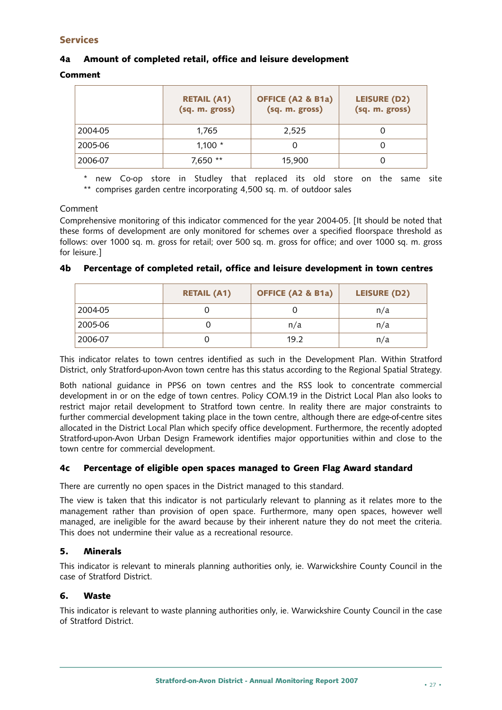#### **Services**

#### **4a Amount of completed retail, office and leisure development**

#### **Comment**

|         | <b>RETAIL (A1)</b><br>(sq. m. gross) | <b>OFFICE (A2 &amp; B1a)</b><br>(sq. m. gross) | <b>LEISURE (D2)</b><br>(sq. m. gross) |
|---------|--------------------------------------|------------------------------------------------|---------------------------------------|
| 2004-05 | 1,765                                | 2,525                                          |                                       |
| 2005-06 | $1,100 *$                            |                                                |                                       |
| 2006-07 | 7,650 **                             | 15,900                                         |                                       |

\* new Co-op store in Studley that replaced its old store on the same site \*\* comprises garden centre incorporating 4,500 sq. m. of outdoor sales

#### Comment

Comprehensive monitoring of this indicator commenced for the year 2004-05. [It should be noted that these forms of development are only monitored for schemes over a specified floorspace threshold as follows: over 1000 sq. m. gross for retail; over 500 sq. m. gross for office; and over 1000 sq. m. gross for leisure.]

|         | <b>RETAIL (A1)</b> | <b>OFFICE (A2 &amp; B1a)</b> | LEISURE (D2) |
|---------|--------------------|------------------------------|--------------|
| 2004-05 |                    |                              | n/a          |
| 2005-06 |                    | n/a                          | n/a          |
| 2006-07 |                    | 19.2                         | n/a          |

#### **4b Percentage of completed retail, office and leisure development in town centres**

This indicator relates to town centres identified as such in the Development Plan. Within Stratford District, only Stratford-upon-Avon town centre has this status according to the Regional Spatial Strategy.

Both national guidance in PPS6 on town centres and the RSS look to concentrate commercial development in or on the edge of town centres. Policy COM.19 in the District Local Plan also looks to restrict major retail development to Stratford town centre. In reality there are major constraints to further commercial development taking place in the town centre, although there are edge-of-centre sites allocated in the District Local Plan which specify office development. Furthermore, the recently adopted Stratford-upon-Avon Urban Design Framework identifies major opportunities within and close to the town centre for commercial development.

#### **4c Percentage of eligible open spaces managed to Green Flag Award standard**

There are currently no open spaces in the District managed to this standard.

The view is taken that this indicator is not particularly relevant to planning as it relates more to the management rather than provision of open space. Furthermore, many open spaces, however well managed, are ineligible for the award because by their inherent nature they do not meet the criteria. This does not undermine their value as a recreational resource.

#### **5. Minerals**

This indicator is relevant to minerals planning authorities only, ie. Warwickshire County Council in the case of Stratford District.

#### **6. Waste**

This indicator is relevant to waste planning authorities only, ie. Warwickshire County Council in the case of Stratford District.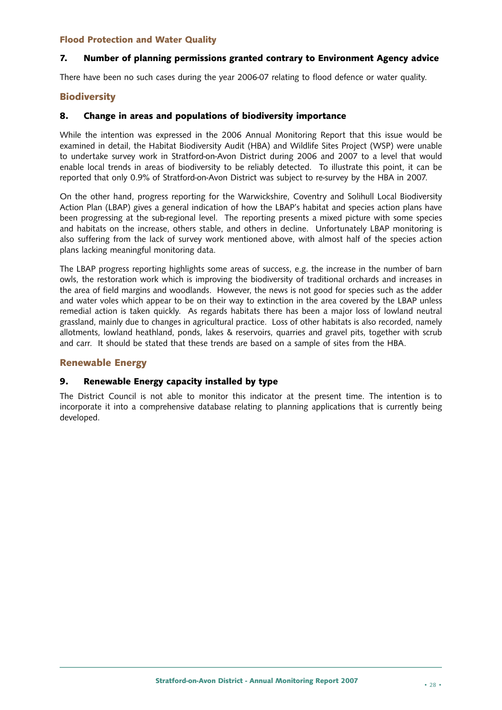#### **Flood Protection and Water Quality**

#### **7. Number of planning permissions granted contrary to Environment Agency advice**

There have been no such cases during the year 2006-07 relating to flood defence or water quality.

#### **Biodiversity**

#### **8. Change in areas and populations of biodiversity importance**

While the intention was expressed in the 2006 Annual Monitoring Report that this issue would be examined in detail, the Habitat Biodiversity Audit (HBA) and Wildlife Sites Project (WSP) were unable to undertake survey work in Stratford-on-Avon District during 2006 and 2007 to a level that would enable local trends in areas of biodiversity to be reliably detected. To illustrate this point, it can be reported that only 0.9% of Stratford-on-Avon District was subject to re-survey by the HBA in 2007.

On the other hand, progress reporting for the Warwickshire, Coventry and Solihull Local Biodiversity Action Plan (LBAP) gives a general indication of how the LBAP's habitat and species action plans have been progressing at the sub-regional level. The reporting presents a mixed picture with some species and habitats on the increase, others stable, and others in decline. Unfortunately LBAP monitoring is also suffering from the lack of survey work mentioned above, with almost half of the species action plans lacking meaningful monitoring data.

The LBAP progress reporting highlights some areas of success, e.g. the increase in the number of barn owls, the restoration work which is improving the biodiversity of traditional orchards and increases in the area of field margins and woodlands. However, the news is not good for species such as the adder and water voles which appear to be on their way to extinction in the area covered by the LBAP unless remedial action is taken quickly. As regards habitats there has been a major loss of lowland neutral grassland, mainly due to changes in agricultural practice. Loss of other habitats is also recorded, namely allotments, lowland heathland, ponds, lakes & reservoirs, quarries and gravel pits, together with scrub and carr. It should be stated that these trends are based on a sample of sites from the HBA.

#### **Renewable Energy**

#### **9. Renewable Energy capacity installed by type**

The District Council is not able to monitor this indicator at the present time. The intention is to incorporate it into a comprehensive database relating to planning applications that is currently being developed.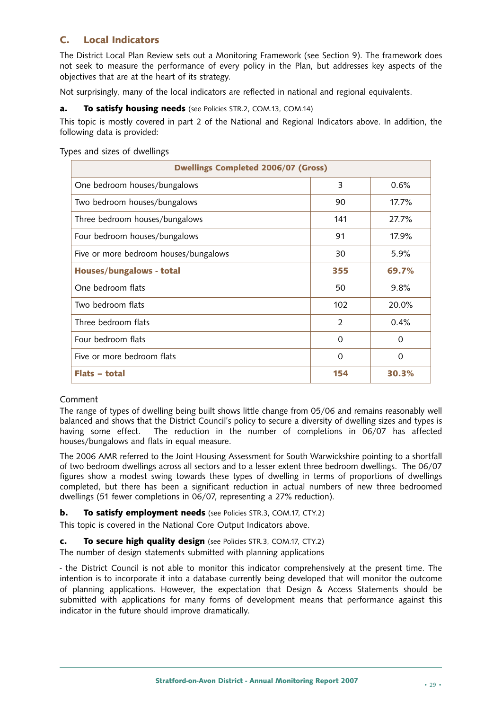#### **C. Local Indicators**

The District Local Plan Review sets out a Monitoring Framework (see Section 9). The framework does not seek to measure the performance of every policy in the Plan, but addresses key aspects of the objectives that are at the heart of its strategy.

Not surprisingly, many of the local indicators are reflected in national and regional equivalents.

#### **a. To satisfy housing needs** (see Policies STR.2, COM.13, COM.14)

This topic is mostly covered in part 2 of the National and Regional Indicators above. In addition, the following data is provided:

| <b>Dwellings Completed 2006/07 (Gross)</b> |                |          |  |  |
|--------------------------------------------|----------------|----------|--|--|
| One bedroom houses/bungalows               | 3              | 0.6%     |  |  |
| Two bedroom houses/bungalows               | 90             | 17.7%    |  |  |
| Three bedroom houses/bungalows             | 141            | 27.7%    |  |  |
| Four bedroom houses/bungalows              | 91             | 17.9%    |  |  |
| Five or more bedroom houses/bungalows      | 30             | 5.9%     |  |  |
| Houses/bungalows - total                   | 355            | 69.7%    |  |  |
| One bedroom flats                          | 50             | 9.8%     |  |  |
| Two bedroom flats                          | 102            | 20.0%    |  |  |
| Three bedroom flats                        | $\overline{2}$ | 0.4%     |  |  |
| Four bedroom flats                         | $\Omega$       | $\Omega$ |  |  |
| Five or more bedroom flats                 | $\Omega$       | $\Omega$ |  |  |
| <b>Flats - total</b>                       | 154            | 30.3%    |  |  |

Types and sizes of dwellings

#### Comment

The range of types of dwelling being built shows little change from 05/06 and remains reasonably well balanced and shows that the District Council's policy to secure a diversity of dwelling sizes and types is having some effect. The reduction in the number of completions in 06/07 has affected houses/bungalows and flats in equal measure.

The 2006 AMR referred to the Joint Housing Assessment for South Warwickshire pointing to a shortfall of two bedroom dwellings across all sectors and to a lesser extent three bedroom dwellings. The 06/07 figures show a modest swing towards these types of dwelling in terms of proportions of dwellings completed, but there has been a significant reduction in actual numbers of new three bedroomed dwellings (51 fewer completions in 06/07, representing a 27% reduction).

#### **b. To satisfy employment needs** (see Policies STR.3, COM.17, CTY.2)

This topic is covered in the National Core Output Indicators above.

#### **c. To secure high quality design** (see Policies STR.3, COM.17, CTY.2)

The number of design statements submitted with planning applications

- the District Council is not able to monitor this indicator comprehensively at the present time. The intention is to incorporate it into a database currently being developed that will monitor the outcome of planning applications. However, the expectation that Design & Access Statements should be submitted with applications for many forms of development means that performance against this indicator in the future should improve dramatically.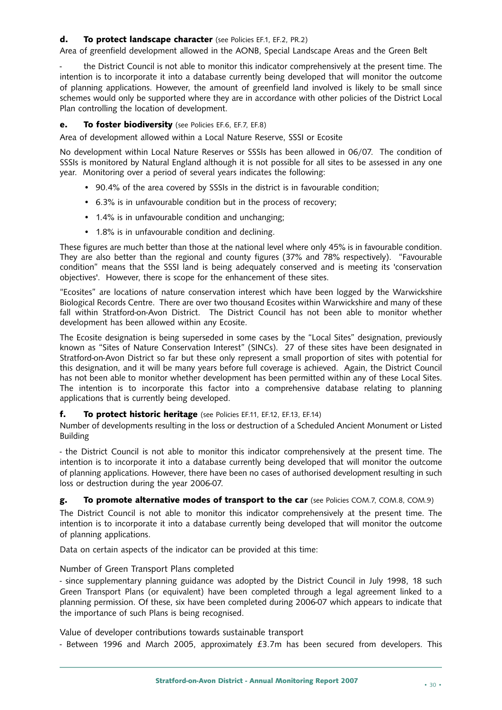#### **d. To protect landscape character** (see Policies EF.1, EF.2, PR.2)

Area of greenfield development allowed in the AONB, Special Landscape Areas and the Green Belt

the District Council is not able to monitor this indicator comprehensively at the present time. The intention is to incorporate it into a database currently being developed that will monitor the outcome of planning applications. However, the amount of greenfield land involved is likely to be small since schemes would only be supported where they are in accordance with other policies of the District Local Plan controlling the location of development.

#### **e. To foster biodiversity** (see Policies EF.6, EF.7, EF.8)

Area of development allowed within a Local Nature Reserve, SSSI or Ecosite

No development within Local Nature Reserves or SSSIs has been allowed in 06/07. The condition of SSSIs is monitored by Natural England although it is not possible for all sites to be assessed in any one year. Monitoring over a period of several years indicates the following:

- 90.4% of the area covered by SSSIs in the district is in favourable condition;
- 6.3% is in unfavourable condition but in the process of recovery;
- 1.4% is in unfavourable condition and unchanging;
- 1.8% is in unfavourable condition and declining.

These figures are much better than those at the national level where only 45% is in favourable condition. They are also better than the regional and county figures (37% and 78% respectively). "Favourable condition" means that the SSSI land is being adequately conserved and is meeting its 'conservation objectives'. However, there is scope for the enhancement of these sites.

"Ecosites" are locations of nature conservation interest which have been logged by the Warwickshire Biological Records Centre. There are over two thousand Ecosites within Warwickshire and many of these fall within Stratford-on-Avon District. The District Council has not been able to monitor whether development has been allowed within any Ecosite.

The Ecosite designation is being superseded in some cases by the "Local Sites" designation, previously known as "Sites of Nature Conservation Interest" (SINCs). 27 of these sites have been designated in Stratford-on-Avon District so far but these only represent a small proportion of sites with potential for this designation, and it will be many years before full coverage is achieved. Again, the District Council has not been able to monitor whether development has been permitted within any of these Local Sites. The intention is to incorporate this factor into a comprehensive database relating to planning applications that is currently being developed.

#### **f. To protect historic heritage** (see Policies EF.11, EF.12, EF.13, EF.14)

Number of developments resulting in the loss or destruction of a Scheduled Ancient Monument or Listed Building

- the District Council is not able to monitor this indicator comprehensively at the present time. The intention is to incorporate it into a database currently being developed that will monitor the outcome of planning applications. However, there have been no cases of authorised development resulting in such loss or destruction during the year 2006-07.

#### **g. To promote alternative modes of transport to the car** (see Policies COM.7, COM.8, COM.9)

The District Council is not able to monitor this indicator comprehensively at the present time. The intention is to incorporate it into a database currently being developed that will monitor the outcome of planning applications.

Data on certain aspects of the indicator can be provided at this time:

#### Number of Green Transport Plans completed

- since supplementary planning guidance was adopted by the District Council in July 1998, 18 such Green Transport Plans (or equivalent) have been completed through a legal agreement linked to a planning permission. Of these, six have been completed during 2006-07 which appears to indicate that the importance of such Plans is being recognised.

Value of developer contributions towards sustainable transport

- Between 1996 and March 2005, approximately £3.7m has been secured from developers. This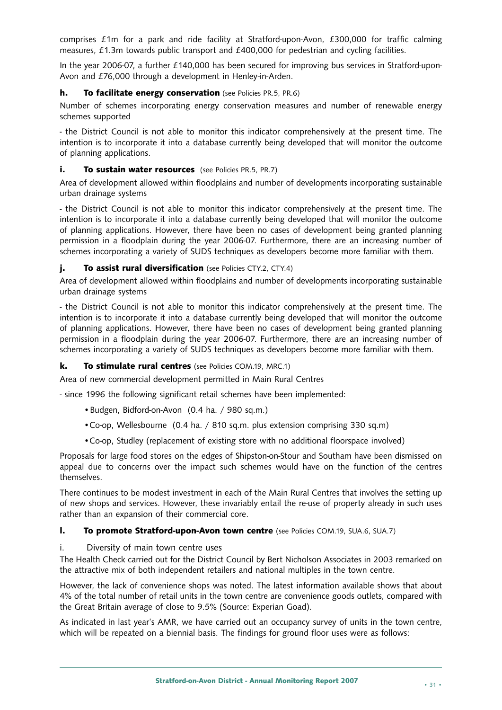comprises £1m for a park and ride facility at Stratford-upon-Avon, £300,000 for traffic calming measures, £1.3m towards public transport and £400,000 for pedestrian and cycling facilities.

In the year 2006-07, a further £140,000 has been secured for improving bus services in Stratford-upon-Avon and £76,000 through a development in Henley-in-Arden.

#### **h. To facilitate energy conservation** (see Policies PR.5, PR.6)

Number of schemes incorporating energy conservation measures and number of renewable energy schemes supported

- the District Council is not able to monitor this indicator comprehensively at the present time. The intention is to incorporate it into a database currently being developed that will monitor the outcome of planning applications.

#### **i. To sustain water resources** (see Policies PR.5, PR.7)

Area of development allowed within floodplains and number of developments incorporating sustainable urban drainage systems

- the District Council is not able to monitor this indicator comprehensively at the present time. The intention is to incorporate it into a database currently being developed that will monitor the outcome of planning applications. However, there have been no cases of development being granted planning permission in a floodplain during the year 2006-07. Furthermore, there are an increasing number of schemes incorporating a variety of SUDS techniques as developers become more familiar with them.

#### **j. To assist rural diversification** (see Policies CTY.2, CTY.4)

Area of development allowed within floodplains and number of developments incorporating sustainable urban drainage systems

- the District Council is not able to monitor this indicator comprehensively at the present time. The intention is to incorporate it into a database currently being developed that will monitor the outcome of planning applications. However, there have been no cases of development being granted planning permission in a floodplain during the year 2006-07. Furthermore, there are an increasing number of schemes incorporating a variety of SUDS techniques as developers become more familiar with them.

#### **k. To stimulate rural centres** (see Policies COM.19, MRC.1)

Area of new commercial development permitted in Main Rural Centres

- since 1996 the following significant retail schemes have been implemented:

- •Budgen, Bidford-on-Avon (0.4 ha. / 980 sq.m.)
- •Co-op, Wellesbourne (0.4 ha. / 810 sq.m. plus extension comprising 330 sq.m)
- •Co-op, Studley (replacement of existing store with no additional floorspace involved)

Proposals for large food stores on the edges of Shipston-on-Stour and Southam have been dismissed on appeal due to concerns over the impact such schemes would have on the function of the centres themselves.

There continues to be modest investment in each of the Main Rural Centres that involves the setting up of new shops and services. However, these invariably entail the re-use of property already in such uses rather than an expansion of their commercial core.

#### **l. To promote Stratford-upon-Avon town centre** (see Policies COM.19, SUA.6, SUA.7)

#### i. Diversity of main town centre uses

The Health Check carried out for the District Council by Bert Nicholson Associates in 2003 remarked on the attractive mix of both independent retailers and national multiples in the town centre.

However, the lack of convenience shops was noted. The latest information available shows that about 4% of the total number of retail units in the town centre are convenience goods outlets, compared with the Great Britain average of close to 9.5% (Source: Experian Goad).

As indicated in last year's AMR, we have carried out an occupancy survey of units in the town centre, which will be repeated on a biennial basis. The findings for ground floor uses were as follows: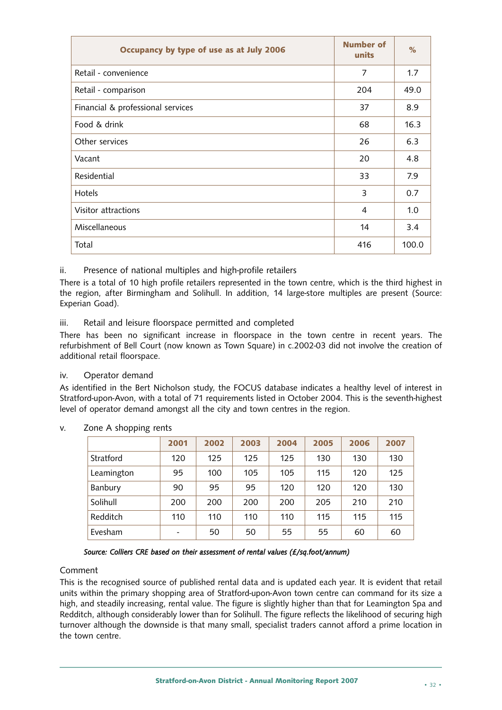| Occupancy by type of use as at July 2006 | <b>Number of</b><br>units | $\%$  |
|------------------------------------------|---------------------------|-------|
| Retail - convenience                     | 7                         | 1.7   |
| Retail - comparison                      | 204                       | 49.0  |
| Financial & professional services        | 37                        | 8.9   |
| Food & drink                             | 68                        | 16.3  |
| Other services                           | 26                        | 6.3   |
| Vacant                                   | 20                        | 4.8   |
| Residential                              | 33                        | 7.9   |
| Hotels                                   | 3                         | 0.7   |
| Visitor attractions                      | 4                         | 1.0   |
| Miscellaneous                            | 14                        | 3.4   |
| Total                                    | 416                       | 100.0 |

ii. Presence of national multiples and high-profile retailers

There is a total of 10 high profile retailers represented in the town centre, which is the third highest in the region, after Birmingham and Solihull. In addition, 14 large-store multiples are present (Source: Experian Goad).

iii. Retail and leisure floorspace permitted and completed

There has been no significant increase in floorspace in the town centre in recent years. The refurbishment of Bell Court (now known as Town Square) in c.2002-03 did not involve the creation of additional retail floorspace.

#### iv. Operator demand

As identified in the Bert Nicholson study, the FOCUS database indicates a healthy level of interest in Stratford-upon-Avon, with a total of 71 requirements listed in October 2004. This is the seventh-highest level of operator demand amongst all the city and town centres in the region.

|            | 2001 | 2002 | 2003 | 2004 | 2005 | 2006 | 2007 |
|------------|------|------|------|------|------|------|------|
| Stratford  | 120  | 125  | 125  | 125  | 130  | 130  | 130  |
| Leamington | 95   | 100  | 105  | 105  | 115  | 120  | 125  |
| Banbury    | 90   | 95   | 95   | 120  | 120  | 120  | 130  |
| Solihull   | 200  | 200  | 200  | 200  | 205  | 210  | 210  |
| Redditch   | 110  | 110  | 110  | 110  | 115  | 115  | 115  |
| Evesham    |      | 50   | 50   | 55   | 55   | 60   | 60   |

v. Zone A shopping rents

*Source: Colliers CRE based on their assessment of rental values (£/sq.foot/annum)*

#### Comment

This is the recognised source of published rental data and is updated each year. It is evident that retail units within the primary shopping area of Stratford-upon-Avon town centre can command for its size a high, and steadily increasing, rental value. The figure is slightly higher than that for Leamington Spa and Redditch, although considerably lower than for Solihull. The figure reflects the likelihood of securing high turnover although the downside is that many small, specialist traders cannot afford a prime location in the town centre.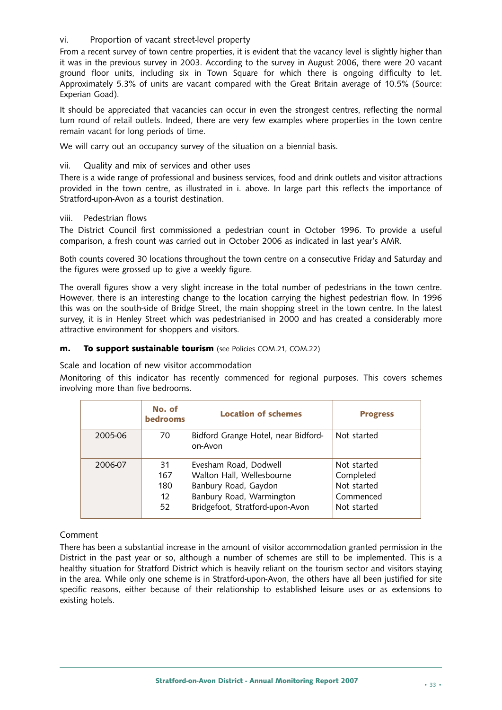#### vi. Proportion of vacant street-level property

From a recent survey of town centre properties, it is evident that the vacancy level is slightly higher than it was in the previous survey in 2003. According to the survey in August 2006, there were 20 vacant ground floor units, including six in Town Square for which there is ongoing difficulty to let. Approximately 5.3% of units are vacant compared with the Great Britain average of 10.5% (Source: Experian Goad).

It should be appreciated that vacancies can occur in even the strongest centres, reflecting the normal turn round of retail outlets. Indeed, there are very few examples where properties in the town centre remain vacant for long periods of time.

We will carry out an occupancy survey of the situation on a biennial basis.

#### vii. Quality and mix of services and other uses

There is a wide range of professional and business services, food and drink outlets and visitor attractions provided in the town centre, as illustrated in i. above. In large part this reflects the importance of Stratford-upon-Avon as a tourist destination.

#### viii. Pedestrian flows

The District Council first commissioned a pedestrian count in October 1996. To provide a useful comparison, a fresh count was carried out in October 2006 as indicated in last year's AMR.

Both counts covered 30 locations throughout the town centre on a consecutive Friday and Saturday and the figures were grossed up to give a weekly figure.

The overall figures show a very slight increase in the total number of pedestrians in the town centre. However, there is an interesting change to the location carrying the highest pedestrian flow. In 1996 this was on the south-side of Bridge Street, the main shopping street in the town centre. In the latest survey, it is in Henley Street which was pedestrianised in 2000 and has created a considerably more attractive environment for shoppers and visitors.

#### **m. To support sustainable tourism** (see Policies COM.21, COM.22)

Scale and location of new visitor accommodation

Monitoring of this indicator has recently commenced for regional purposes. This covers schemes involving more than five bedrooms.

|         | No. of<br><b>bedrooms</b>                   | <b>Location of schemes</b>                                                                                                                | <b>Progress</b>                                                     |
|---------|---------------------------------------------|-------------------------------------------------------------------------------------------------------------------------------------------|---------------------------------------------------------------------|
| 2005-06 | 70                                          | Bidford Grange Hotel, near Bidford-<br>on-Avon                                                                                            | Not started                                                         |
| 2006-07 | 31<br>167<br>180<br>$12 \overline{ }$<br>52 | Evesham Road, Dodwell<br>Walton Hall, Wellesbourne<br>Banbury Road, Gaydon<br>Banbury Road, Warmington<br>Bridgefoot, Stratford-upon-Avon | Not started<br>Completed<br>Not started<br>Commenced<br>Not started |

#### Comment

There has been a substantial increase in the amount of visitor accommodation granted permission in the District in the past year or so, although a number of schemes are still to be implemented. This is a healthy situation for Stratford District which is heavily reliant on the tourism sector and visitors staying in the area. While only one scheme is in Stratford-upon-Avon, the others have all been justified for site specific reasons, either because of their relationship to established leisure uses or as extensions to existing hotels.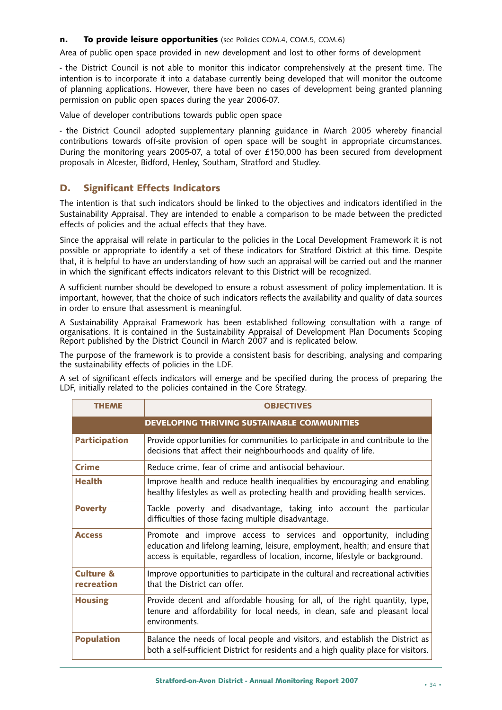#### **n. To provide leisure opportunities** (see Policies COM.4, COM.5, COM.6)

Area of public open space provided in new development and lost to other forms of development

- the District Council is not able to monitor this indicator comprehensively at the present time. The intention is to incorporate it into a database currently being developed that will monitor the outcome of planning applications. However, there have been no cases of development being granted planning permission on public open spaces during the year 2006-07.

Value of developer contributions towards public open space

- the District Council adopted supplementary planning guidance in March 2005 whereby financial contributions towards off-site provision of open space will be sought in appropriate circumstances. During the monitoring years 2005-07, a total of over £150,000 has been secured from development proposals in Alcester, Bidford, Henley, Southam, Stratford and Studley.

#### **D. Significant Effects Indicators**

The intention is that such indicators should be linked to the objectives and indicators identified in the Sustainability Appraisal. They are intended to enable a comparison to be made between the predicted effects of policies and the actual effects that they have.

Since the appraisal will relate in particular to the policies in the Local Development Framework it is not possible or appropriate to identify a set of these indicators for Stratford District at this time. Despite that, it is helpful to have an understanding of how such an appraisal will be carried out and the manner in which the significant effects indicators relevant to this District will be recognized.

A sufficient number should be developed to ensure a robust assessment of policy implementation. It is important, however, that the choice of such indicators reflects the availability and quality of data sources in order to ensure that assessment is meaningful.

A Sustainability Appraisal Framework has been established following consultation with a range of organisations. It is contained in the Sustainability Appraisal of Development Plan Documents Scoping Report published by the District Council in March 2007 and is replicated below.

The purpose of the framework is to provide a consistent basis for describing, analysing and comparing the sustainability effects of policies in the LDF.

A set of significant effects indicators will emerge and be specified during the process of preparing the LDF, initially related to the policies contained in the Core Strategy.

| <b>THEME</b>                       | <b>OBJECTIVES</b>                                                                                                                                                                                                                   |
|------------------------------------|-------------------------------------------------------------------------------------------------------------------------------------------------------------------------------------------------------------------------------------|
|                                    | DEVELOPING THRIVING SUSTAINABLE COMMUNITIES                                                                                                                                                                                         |
| <b>Participation</b>               | Provide opportunities for communities to participate in and contribute to the<br>decisions that affect their neighbourhoods and quality of life.                                                                                    |
| <b>Crime</b>                       | Reduce crime, fear of crime and antisocial behaviour.                                                                                                                                                                               |
| <b>Health</b>                      | Improve health and reduce health inequalities by encouraging and enabling<br>healthy lifestyles as well as protecting health and providing health services.                                                                         |
| <b>Poverty</b>                     | Tackle poverty and disadvantage, taking into account the particular<br>difficulties of those facing multiple disadvantage.                                                                                                          |
| <b>Access</b>                      | Promote and improve access to services and opportunity, including<br>education and lifelong learning, leisure, employment, health; and ensure that<br>access is equitable, regardless of location, income, lifestyle or background. |
| <b>Culture &amp;</b><br>recreation | Improve opportunities to participate in the cultural and recreational activities<br>that the District can offer.                                                                                                                    |
| <b>Housing</b>                     | Provide decent and affordable housing for all, of the right quantity, type,<br>tenure and affordability for local needs, in clean, safe and pleasant local<br>environments.                                                         |
| <b>Population</b>                  | Balance the needs of local people and visitors, and establish the District as<br>both a self-sufficient District for residents and a high quality place for visitors.                                                               |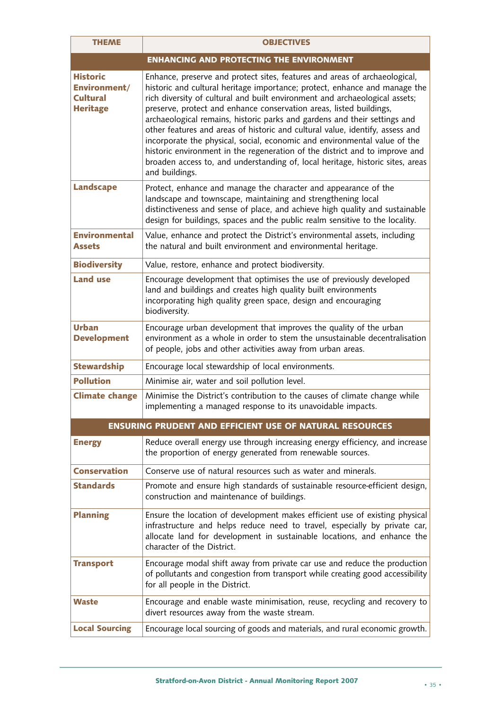| <b>THEME</b>                                                          | <b>OBJECTIVES</b>                                                                                                                                                                                                                                                                                                                                                                                                                                                                                                                                                                                                                                                                                                                            |
|-----------------------------------------------------------------------|----------------------------------------------------------------------------------------------------------------------------------------------------------------------------------------------------------------------------------------------------------------------------------------------------------------------------------------------------------------------------------------------------------------------------------------------------------------------------------------------------------------------------------------------------------------------------------------------------------------------------------------------------------------------------------------------------------------------------------------------|
|                                                                       | <b>ENHANCING AND PROTECTING THE ENVIRONMENT</b>                                                                                                                                                                                                                                                                                                                                                                                                                                                                                                                                                                                                                                                                                              |
| <b>Historic</b><br>Environment/<br><b>Cultural</b><br><b>Heritage</b> | Enhance, preserve and protect sites, features and areas of archaeological,<br>historic and cultural heritage importance; protect, enhance and manage the<br>rich diversity of cultural and built environment and archaeological assets;<br>preserve, protect and enhance conservation areas, listed buildings,<br>archaeological remains, historic parks and gardens and their settings and<br>other features and areas of historic and cultural value, identify, assess and<br>incorporate the physical, social, economic and environmental value of the<br>historic environment in the regeneration of the district and to improve and<br>broaden access to, and understanding of, local heritage, historic sites, areas<br>and buildings. |
| <b>Landscape</b>                                                      | Protect, enhance and manage the character and appearance of the<br>landscape and townscape, maintaining and strengthening local<br>distinctiveness and sense of place, and achieve high quality and sustainable<br>design for buildings, spaces and the public realm sensitive to the locality.                                                                                                                                                                                                                                                                                                                                                                                                                                              |
| <b>Environmental</b><br><b>Assets</b>                                 | Value, enhance and protect the District's environmental assets, including<br>the natural and built environment and environmental heritage.                                                                                                                                                                                                                                                                                                                                                                                                                                                                                                                                                                                                   |
| <b>Biodiversity</b>                                                   | Value, restore, enhance and protect biodiversity.                                                                                                                                                                                                                                                                                                                                                                                                                                                                                                                                                                                                                                                                                            |
| <b>Land use</b>                                                       | Encourage development that optimises the use of previously developed<br>land and buildings and creates high quality built environments<br>incorporating high quality green space, design and encouraging<br>biodiversity.                                                                                                                                                                                                                                                                                                                                                                                                                                                                                                                    |
| <b>Urban</b><br><b>Development</b>                                    | Encourage urban development that improves the quality of the urban<br>environment as a whole in order to stem the unsustainable decentralisation<br>of people, jobs and other activities away from urban areas.                                                                                                                                                                                                                                                                                                                                                                                                                                                                                                                              |
| <b>Stewardship</b>                                                    | Encourage local stewardship of local environments.                                                                                                                                                                                                                                                                                                                                                                                                                                                                                                                                                                                                                                                                                           |
| <b>Pollution</b>                                                      | Minimise air, water and soil pollution level.                                                                                                                                                                                                                                                                                                                                                                                                                                                                                                                                                                                                                                                                                                |
| <b>Climate change</b>                                                 | Minimise the District's contribution to the causes of climate change while<br>implementing a managed response to its unavoidable impacts.                                                                                                                                                                                                                                                                                                                                                                                                                                                                                                                                                                                                    |
|                                                                       | <b>ENSURING PRUDENT AND EFFICIENT USE OF NATURAL RESOURCES</b>                                                                                                                                                                                                                                                                                                                                                                                                                                                                                                                                                                                                                                                                               |
| <b>Energy</b>                                                         | Reduce overall energy use through increasing energy efficiency, and increase<br>the proportion of energy generated from renewable sources.                                                                                                                                                                                                                                                                                                                                                                                                                                                                                                                                                                                                   |
| <b>Conservation</b>                                                   | Conserve use of natural resources such as water and minerals.                                                                                                                                                                                                                                                                                                                                                                                                                                                                                                                                                                                                                                                                                |
| <b>Standards</b>                                                      | Promote and ensure high standards of sustainable resource-efficient design,<br>construction and maintenance of buildings.                                                                                                                                                                                                                                                                                                                                                                                                                                                                                                                                                                                                                    |
| <b>Planning</b>                                                       | Ensure the location of development makes efficient use of existing physical<br>infrastructure and helps reduce need to travel, especially by private car,<br>allocate land for development in sustainable locations, and enhance the<br>character of the District.                                                                                                                                                                                                                                                                                                                                                                                                                                                                           |
| <b>Transport</b>                                                      | Encourage modal shift away from private car use and reduce the production<br>of pollutants and congestion from transport while creating good accessibility<br>for all people in the District.                                                                                                                                                                                                                                                                                                                                                                                                                                                                                                                                                |
| <b>Waste</b>                                                          | Encourage and enable waste minimisation, reuse, recycling and recovery to<br>divert resources away from the waste stream.                                                                                                                                                                                                                                                                                                                                                                                                                                                                                                                                                                                                                    |
| <b>Local Sourcing</b>                                                 | Encourage local sourcing of goods and materials, and rural economic growth.                                                                                                                                                                                                                                                                                                                                                                                                                                                                                                                                                                                                                                                                  |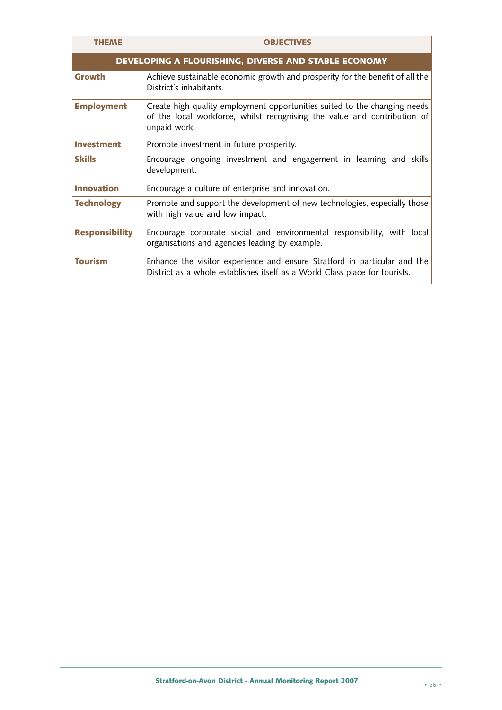| <b>THEME</b>          | <b>OBJECTIVES</b>                                                                                                                                                     |
|-----------------------|-----------------------------------------------------------------------------------------------------------------------------------------------------------------------|
|                       | DEVELOPING A FLOURISHING, DIVERSE AND STABLE ECONOMY                                                                                                                  |
| <b>Growth</b>         | Achieve sustainable economic growth and prosperity for the benefit of all the<br>District's inhabitants.                                                              |
| <b>Employment</b>     | Create high quality employment opportunities suited to the changing needs<br>of the local workforce, whilst recognising the value and contribution of<br>unpaid work. |
| <b>Investment</b>     | Promote investment in future prosperity.                                                                                                                              |
| <b>Skills</b>         | Encourage ongoing investment and engagement in learning and skills<br>development.                                                                                    |
| <b>Innovation</b>     | Encourage a culture of enterprise and innovation.                                                                                                                     |
| <b>Technology</b>     | Promote and support the development of new technologies, especially those<br>with high value and low impact.                                                          |
| <b>Responsibility</b> | Encourage corporate social and environmental responsibility, with local<br>organisations and agencies leading by example.                                             |
| <b>Tourism</b>        | Enhance the visitor experience and ensure Stratford in particular and the<br>District as a whole establishes itself as a World Class place for tourists.              |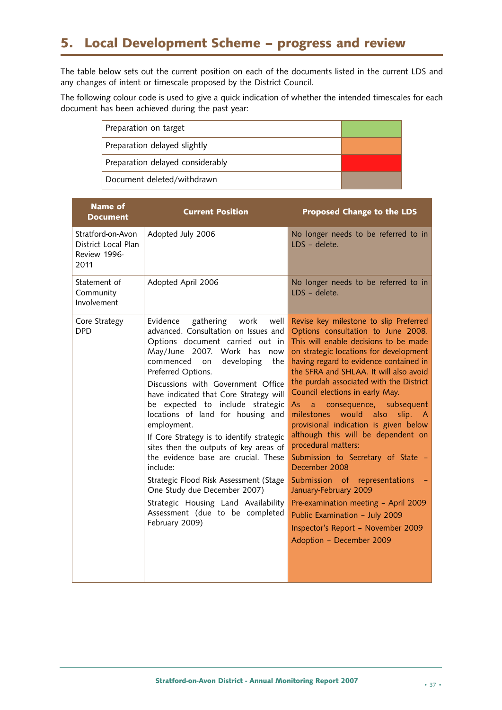## **5. Local Development Scheme – progress and review**

The table below sets out the current position on each of the documents listed in the current LDS and any changes of intent or timescale proposed by the District Council.

The following colour code is used to give a quick indication of whether the intended timescales for each document has been achieved during the past year:

| Preparation on target            |  |
|----------------------------------|--|
| Preparation delayed slightly     |  |
| Preparation delayed considerably |  |
| Document deleted/withdrawn       |  |

| <b>Name of</b><br><b>Document</b>                                | <b>Current Position</b>                                                                                                                                                                                                                                                                                                                                                                                                                                                                                                                                                                                                                                                                                   | <b>Proposed Change to the LDS</b>                                                                                                                                                                                                                                                                                                                                                                                                                                                                                                                                                                                                                                                                                                                                                      |
|------------------------------------------------------------------|-----------------------------------------------------------------------------------------------------------------------------------------------------------------------------------------------------------------------------------------------------------------------------------------------------------------------------------------------------------------------------------------------------------------------------------------------------------------------------------------------------------------------------------------------------------------------------------------------------------------------------------------------------------------------------------------------------------|----------------------------------------------------------------------------------------------------------------------------------------------------------------------------------------------------------------------------------------------------------------------------------------------------------------------------------------------------------------------------------------------------------------------------------------------------------------------------------------------------------------------------------------------------------------------------------------------------------------------------------------------------------------------------------------------------------------------------------------------------------------------------------------|
| Stratford-on-Avon<br>District Local Plan<br>Review 1996-<br>2011 | Adopted July 2006                                                                                                                                                                                                                                                                                                                                                                                                                                                                                                                                                                                                                                                                                         | No longer needs to be referred to in<br>LDS - delete.                                                                                                                                                                                                                                                                                                                                                                                                                                                                                                                                                                                                                                                                                                                                  |
| Statement of<br>Community<br>Involvement                         | Adopted April 2006                                                                                                                                                                                                                                                                                                                                                                                                                                                                                                                                                                                                                                                                                        | No longer needs to be referred to in<br>LDS - delete.                                                                                                                                                                                                                                                                                                                                                                                                                                                                                                                                                                                                                                                                                                                                  |
| Core Strategy<br><b>DPD</b>                                      | Evidence<br>gathering<br>work<br>well<br>advanced. Consultation on Issues and<br>Options document carried out in<br>May/June 2007. Work has<br>now<br>commenced<br>developing<br>on<br>the<br>Preferred Options.<br>Discussions with Government Office<br>have indicated that Core Strategy will<br>be expected to include strategic<br>locations of land for housing and<br>employment.<br>If Core Strategy is to identify strategic<br>sites then the outputs of key areas of<br>the evidence base are crucial. These<br>include:<br>Strategic Flood Risk Assessment (Stage<br>One Study due December 2007)<br>Strategic Housing Land Availability<br>Assessment (due to be completed<br>February 2009) | Revise key milestone to slip Preferred<br>Options consultation to June 2008.<br>This will enable decisions to be made<br>on strategic locations for development<br>having regard to evidence contained in<br>the SFRA and SHLAA. It will also avoid<br>the purdah associated with the District<br>Council elections in early May.<br>a consequence, subsequent<br>As<br>would<br>milestones<br>also<br>slip.<br>- A<br>provisional indication is given below<br>although this will be dependent on<br>procedural matters:<br>Submission to Secretary of State -<br>December 2008<br>Submission of representations<br>January-February 2009<br>Pre-examination meeting - April 2009<br>Public Examination - July 2009<br>Inspector's Report - November 2009<br>Adoption - December 2009 |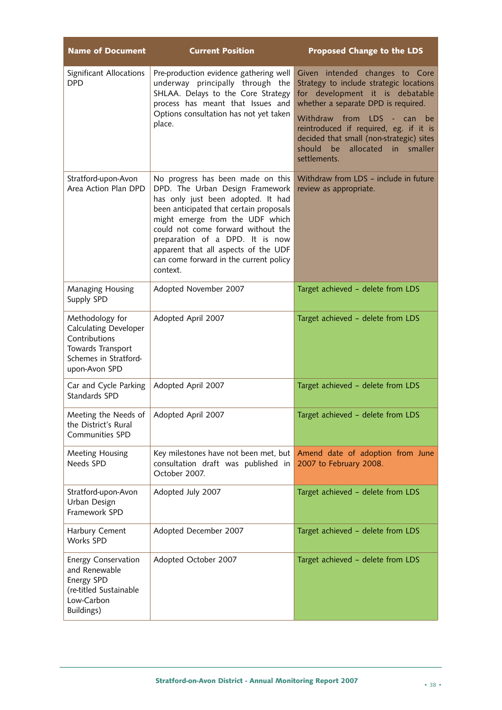| <b>Name of Document</b>                                                                                                         | <b>Current Position</b>                                                                                                                                                                                                                                                                                                                                         | <b>Proposed Change to the LDS</b>                                                                                                                                                                                                                                                                                                  |
|---------------------------------------------------------------------------------------------------------------------------------|-----------------------------------------------------------------------------------------------------------------------------------------------------------------------------------------------------------------------------------------------------------------------------------------------------------------------------------------------------------------|------------------------------------------------------------------------------------------------------------------------------------------------------------------------------------------------------------------------------------------------------------------------------------------------------------------------------------|
| Significant Allocations<br><b>DPD</b>                                                                                           | Pre-production evidence gathering well<br>underway principally through the<br>SHLAA. Delays to the Core Strategy<br>process has meant that Issues and<br>Options consultation has not yet taken<br>place.                                                                                                                                                       | Given intended changes to Core<br>Strategy to include strategic locations<br>for development it is debatable<br>whether a separate DPD is required.<br>Withdraw from LDS - can<br>be<br>reintroduced if required, eg. if it is<br>decided that small (non-strategic) sites<br>allocated in smaller<br>should<br>be<br>settlements. |
| Stratford-upon-Avon<br>Area Action Plan DPD                                                                                     | No progress has been made on this<br>DPD. The Urban Design Framework<br>has only just been adopted. It had<br>been anticipated that certain proposals<br>might emerge from the UDF which<br>could not come forward without the<br>preparation of a DPD. It is now<br>apparent that all aspects of the UDF<br>can come forward in the current policy<br>context. | Withdraw from LDS - include in future<br>review as appropriate.                                                                                                                                                                                                                                                                    |
| Managing Housing<br>Supply SPD                                                                                                  | Adopted November 2007                                                                                                                                                                                                                                                                                                                                           | Target achieved - delete from LDS                                                                                                                                                                                                                                                                                                  |
| Methodology for<br><b>Calculating Developer</b><br>Contributions<br>Towards Transport<br>Schemes in Stratford-<br>upon-Avon SPD | Adopted April 2007                                                                                                                                                                                                                                                                                                                                              | Target achieved - delete from LDS                                                                                                                                                                                                                                                                                                  |
| Car and Cycle Parking<br>Standards SPD                                                                                          | Adopted April 2007                                                                                                                                                                                                                                                                                                                                              | Target achieved - delete from LDS                                                                                                                                                                                                                                                                                                  |
| Meeting the Needs of<br>the District's Rural<br><b>Communities SPD</b>                                                          | Adopted April 2007                                                                                                                                                                                                                                                                                                                                              | Target achieved - delete from LDS                                                                                                                                                                                                                                                                                                  |
| Meeting Housing<br>Needs SPD                                                                                                    | Key milestones have not been met, but<br>consultation draft was published in<br>October 2007.                                                                                                                                                                                                                                                                   | Amend date of adoption from June<br>2007 to February 2008.                                                                                                                                                                                                                                                                         |
| Stratford-upon-Avon<br>Urban Design<br>Framework SPD                                                                            | Adopted July 2007                                                                                                                                                                                                                                                                                                                                               | Target achieved - delete from LDS                                                                                                                                                                                                                                                                                                  |
| Harbury Cement<br>Works SPD                                                                                                     | Adopted December 2007                                                                                                                                                                                                                                                                                                                                           | Target achieved - delete from LDS                                                                                                                                                                                                                                                                                                  |
| <b>Energy Conservation</b><br>and Renewable<br>Energy SPD<br>(re-titled Sustainable<br>Low-Carbon<br>Buildings)                 | Adopted October 2007                                                                                                                                                                                                                                                                                                                                            | Target achieved - delete from LDS                                                                                                                                                                                                                                                                                                  |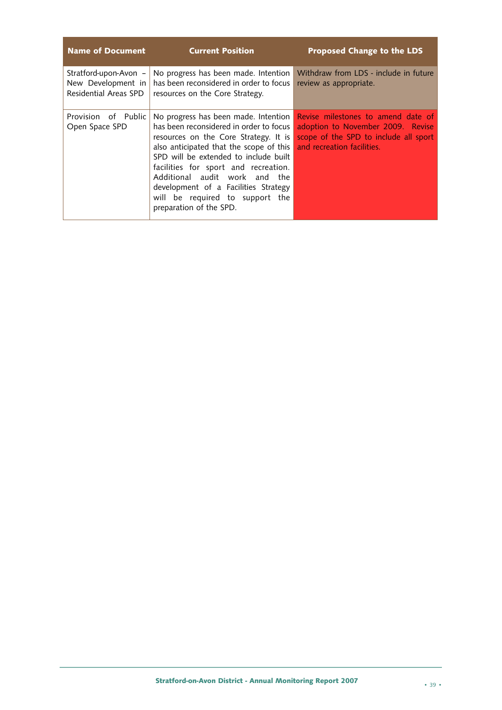| <b>Name of Document</b>                                              | <b>Current Position</b>                                                                                                                                                                                                                                                                                                                                                                     | <b>Proposed Change to the LDS</b>                                                                                                              |
|----------------------------------------------------------------------|---------------------------------------------------------------------------------------------------------------------------------------------------------------------------------------------------------------------------------------------------------------------------------------------------------------------------------------------------------------------------------------------|------------------------------------------------------------------------------------------------------------------------------------------------|
| Stratford-upon-Avon -<br>New Development in<br>Residential Areas SPD | No progress has been made. Intention<br>has been reconsidered in order to focus<br>resources on the Core Strategy.                                                                                                                                                                                                                                                                          | Withdraw from LDS - include in future<br>review as appropriate.                                                                                |
| Provision of Public<br>Open Space SPD                                | No progress has been made. Intention<br>has been reconsidered in order to focus<br>resources on the Core Strategy. It is<br>also anticipated that the scope of this<br>SPD will be extended to include built<br>facilities for sport and recreation.<br>Additional audit work and the<br>development of a Facilities Strategy<br>will be required to support the<br>preparation of the SPD. | Revise milestones to amend date of<br>adoption to November 2009. Revise<br>scope of the SPD to include all sport<br>and recreation facilities. |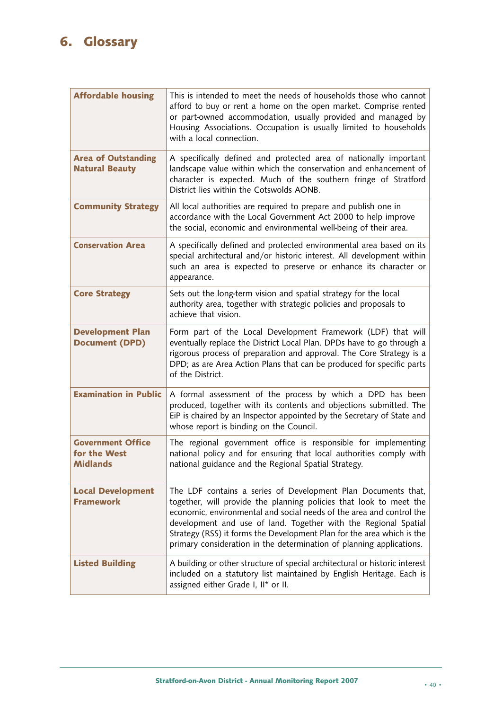## **6. Glossary**

| <b>Affordable housing</b>                            | This is intended to meet the needs of households those who cannot<br>afford to buy or rent a home on the open market. Comprise rented<br>or part-owned accommodation, usually provided and managed by<br>Housing Associations. Occupation is usually limited to households<br>with a local connection.                                                                                                                           |
|------------------------------------------------------|----------------------------------------------------------------------------------------------------------------------------------------------------------------------------------------------------------------------------------------------------------------------------------------------------------------------------------------------------------------------------------------------------------------------------------|
| <b>Area of Outstanding</b><br><b>Natural Beauty</b>  | A specifically defined and protected area of nationally important<br>landscape value within which the conservation and enhancement of<br>character is expected. Much of the southern fringe of Stratford<br>District lies within the Cotswolds AONB.                                                                                                                                                                             |
| <b>Community Strategy</b>                            | All local authorities are required to prepare and publish one in<br>accordance with the Local Government Act 2000 to help improve<br>the social, economic and environmental well-being of their area.                                                                                                                                                                                                                            |
| <b>Conservation Area</b>                             | A specifically defined and protected environmental area based on its<br>special architectural and/or historic interest. All development within<br>such an area is expected to preserve or enhance its character or<br>appearance.                                                                                                                                                                                                |
| <b>Core Strategy</b>                                 | Sets out the long-term vision and spatial strategy for the local<br>authority area, together with strategic policies and proposals to<br>achieve that vision.                                                                                                                                                                                                                                                                    |
| <b>Development Plan</b><br><b>Document (DPD)</b>     | Form part of the Local Development Framework (LDF) that will<br>eventually replace the District Local Plan. DPDs have to go through a<br>rigorous process of preparation and approval. The Core Strategy is a<br>DPD; as are Area Action Plans that can be produced for specific parts<br>of the District.                                                                                                                       |
| <b>Examination in Public</b>                         | A formal assessment of the process by which a DPD has been<br>produced, together with its contents and objections submitted. The<br>EiP is chaired by an Inspector appointed by the Secretary of State and<br>whose report is binding on the Council.                                                                                                                                                                            |
| <b>Government Office</b><br>for the West<br>Midlands | The regional government office is responsible for implementing<br>national policy and for ensuring that local authorities comply with<br>national guidance and the Regional Spatial Strategy.                                                                                                                                                                                                                                    |
| <b>Local Development</b><br><b>Framework</b>         | The LDF contains a series of Development Plan Documents that,<br>together, will provide the planning policies that look to meet the<br>economic, environmental and social needs of the area and control the<br>development and use of land. Together with the Regional Spatial<br>Strategy (RSS) it forms the Development Plan for the area which is the<br>primary consideration in the determination of planning applications. |
| <b>Listed Building</b>                               | A building or other structure of special architectural or historic interest<br>included on a statutory list maintained by English Heritage. Each is<br>assigned either Grade I, II* or II.                                                                                                                                                                                                                                       |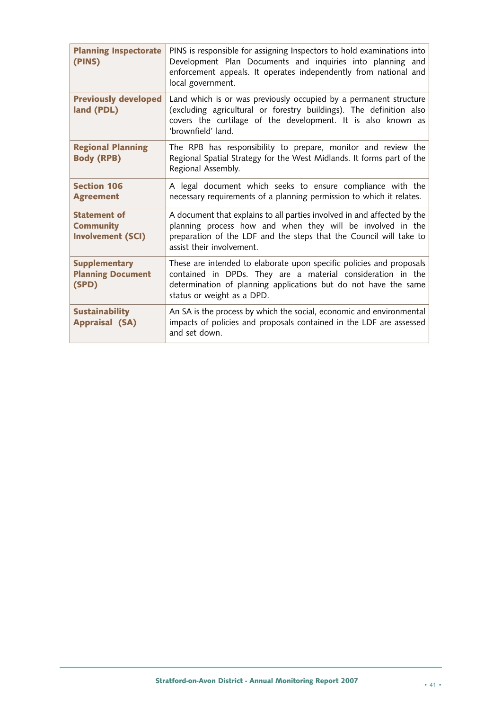| <b>Planning Inspectorate</b><br>(PINS)                              | PINS is responsible for assigning Inspectors to hold examinations into<br>Development Plan Documents and inquiries into planning and<br>enforcement appeals. It operates independently from national and<br>local government.            |
|---------------------------------------------------------------------|------------------------------------------------------------------------------------------------------------------------------------------------------------------------------------------------------------------------------------------|
| <b>Previously developed</b><br>land (PDL)                           | Land which is or was previously occupied by a permanent structure<br>(excluding agricultural or forestry buildings). The definition also<br>covers the curtilage of the development. It is also known as<br>'brownfield' land.           |
| <b>Regional Planning</b><br><b>Body (RPB)</b>                       | The RPB has responsibility to prepare, monitor and review the<br>Regional Spatial Strategy for the West Midlands. It forms part of the<br>Regional Assembly.                                                                             |
| <b>Section 106</b><br><b>Agreement</b>                              | A legal document which seeks to ensure compliance with the<br>necessary requirements of a planning permission to which it relates.                                                                                                       |
| <b>Statement of</b><br><b>Community</b><br><b>Involvement (SCI)</b> | A document that explains to all parties involved in and affected by the<br>planning process how and when they will be involved in the<br>preparation of the LDF and the steps that the Council will take to<br>assist their involvement. |
| <b>Supplementary</b><br><b>Planning Document</b><br>(SPD)           | These are intended to elaborate upon specific policies and proposals<br>contained in DPDs. They are a material consideration in the<br>determination of planning applications but do not have the same<br>status or weight as a DPD.     |
| <b>Sustainability</b><br><b>Appraisal (SA)</b>                      | An SA is the process by which the social, economic and environmental<br>impacts of policies and proposals contained in the LDF are assessed<br>and set down.                                                                             |